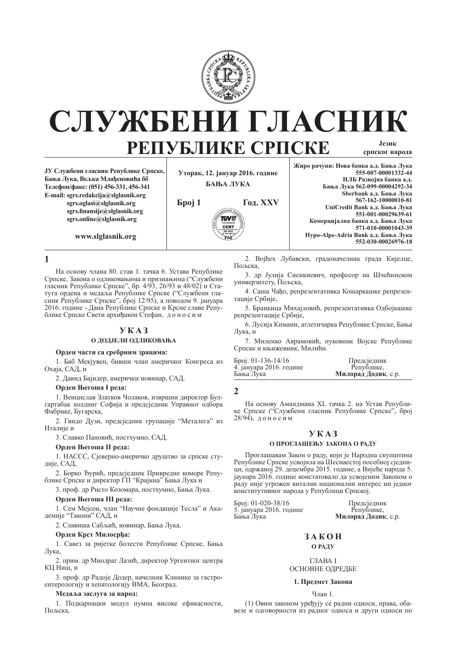

# СЛУЖБЕНИ ГЛАСНИ **PEITY SJIMKE CPIICKE** српског народа

**ȳɍ ɋɥɭɠɛɟɧɢ ɝɥɚɫɧɢɤ Ɋɟɩɭɛɥɢɤɟ ɋɪɩɫɤɟ,**  Бања Лука, Вељка Млаћеновића бб **Ɍɟɥɟɮɨɧ/ɮɚɤɫ: (051) 456-331, 456-341 E-mail: sgrs.redakcija@slglasnik.org sgrs.oglasi@slglasnik.org sgrs.Þ nansije@slglasnik.org sgrs.online@slglasnik.org**

**www.slglasnik.org**

**Уторак, 12. јануар 2016. године БАЊА ЛУКА** 



Жиро рачуни: Нова банка а.д. Бања Лука **555-007-00001332-44 НЛБ Развоіна банка ал. Ȼɚʃɚ Ʌɭɤɚ 562-099-00004292-34** Sberbank а.д. Бања Лука **567-162-10000010-81** UniCredit Bank а.д. Бања Лука **551-001-00029639-61** Комерцијална банка а.д. Бања Лука **571-010-00001043-39** Нуро-Alpe-Adria Bank а.д. Бања Лука **552-030-00026976-18**

**1**

На основу члана 80. став 1. тачка 6. Устава Републике Српске, Закона о одликовањима и признањима ("Службени гласник Републике Српске", бр. 4/93, 26/93 и 48/02) и Статута ордена и медаља Републике Српске ("Службени гласник Републике Српске", број 12/95), а поводом 9. јануара 2016. године - Дана Републике Српске и Крсне славе Републике Српске Свети архиђакон Стефан, доносим

## **ɍ Ʉ Ⱥ Ɂ**

## **О ДОДЈЕЛИ ОДЛИКОВАЊА**

## Орден части са сребрним зрацима:

1. Баб Мекјувен, бивши члан америчког Конгреса из Охаја, САД, и

2. Давид Бајндер, амерички новинар, САД.

## **Орден Његоша I реда:**

1. Венцислав Златков Чолаков, извршни директор Булгартабак холдинг Софија и предсједник Управног одбора Фабрике, Бугарска,

2. Гвидо Дузи, предсједник групације "Металега" из Италије и

3. Славко Пановић, постхумно, САД.

## **Орден Његоша II реда:**

1. НАССС, Сјеверно-америчко друштво за српске стулије, САД,

2. Борко Ђурић, предсједник Привредне коморе Републике Српске и директор ГП "Крајина" Бања Лука и

3. проф. др Ристо Козомара, постхумно, Бања Лука.

## **Орден Његоша III реда:**

1. Сем Мејсон, члан "Научне фондације Тесла" и Академије "Такони" САД, и

2. Славиша Сабљић, новинар, Бања Лука.

## **Орден Крст Милосрђа:**

1. Савез за ријетке болести Републике Српске, Бања Лука,

2. прим. др Миодраг Лазић, директор Ургентног центра КЦ Ниш, и

3. проф. др Радоје Додер, начелник Клинике за гастроентерологију и хепатологију ВМА, Београд.

## $M$ елаља заслуга за народ:

1. Подкарпацки модул пумпа високе ефикасности, Пољска,

2. Војћех Лубавски, градоначелник града Кијелце, Пољска,

3. др Јулија Сиенкиевич, професор на Шчећинском универзитету, Пољска,

4. Саша Чађо, репрезентативка Кошаркашке репрезентације Србије,

5. Бранкица Михајловић, репрезентативка Одбојкашке репрезентације Србије,

6. Лусија Кимани, атлетичарка Републике Српске, Бања Лука, и

7. Миленко Аврамовић, пуковник Војске Републике Српске и књижевник, Милићи.

| Број: 01-136-14/16      | Предсједник         |
|-------------------------|---------------------|
| 4. јануара 2016. године | Републике,          |
| Бања Лука               | Милорад Додик, с.р. |

## **2**

На основу Амандмана XL тачка 2. на Устав Републике Српске ("Службени гласник Републике Српске", број  $28/94$ ), доносим

## **ɍ Ʉ Ⱥ Ɂ**

## О ПРОГЛАШЕЊУ ЗАКОНА О РАДУ

Проглашавам Закон о раду, који је Народна скупштина Републике Српске усвојила на Шеснаестој посебној сједници, одржаној 29. децембра 2015. године, а Вијеће народа 5. jayнара 2016. године констатовало да усвојеним Законом о раду није угрожен витални национални интерес ни једног конститутивног народа у Републици Српској.

Број: 01-020-38/16 Предсједник<br>5. јануара 2016. године Републике. 5. јануара 2016. године<br>Бања Лука

Милорад Додик, с.р.

## **3 A K O H О РАДУ**

ΓΠΑ<sub>RA</sub> I ОСНОВНЕ ОДРЕДБЕ

## 1. Предмет Закона

## Члан 1.

(1) Овим законом уређују се радни односи, права, обавезе и одговорности из радног односа и други односи по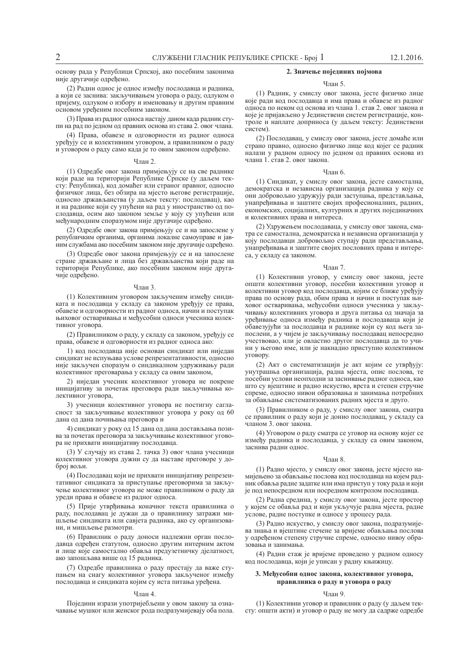основу рада у Републици Српској, ако посебним законима није другачије одређено.

(2) Радни однос је однос између послодавца и радника, а који се заснива: закључивањем уговора о раду, одлуком о пријему, одлуком о избору и именовању и другим правним основом уређеним посебним законом.

(3) Права из радног односа настају даном када радник ступи на рад по једном од правних основа из става 2. овог члана.

(4) Права. обавезе и одговорности из радног односа уређују се и колективним уговором, а правилником о раду и уговором о раду само када је то овим законом одређено.

## $Q_{\text{HAH}}$  2

(1) Одредбе овог закона примјењују се на све раднике који раде на територији Републике Српске (у даљем тексту: Република), код домаћег или страног правног, односно физичког лица, без обзира на мјесто његове регистрације, односно држављанства (у даљем тексту: послодавац), као и на раднике који су упућени на рад у иностранство од послодавца, осим ако законом земље у коју су упућени или међународним споразумом није другачије одређено.

(2) Олредбе овог закона примјењују се и на запослене у републичким органима, органима локалне самоуправе и јавним службама ако посебним законом није другачије одређено.

(3) Одредбе овог закона примјењују се и на запослене стране држављане и лица без држављанства који раде на територији Републике, ако посебним законом није другачије одређено.

## $q_{\text{пан}}$  3

(1) Колективним уговором закљученим између синдиката и послодавца у складу са законом уређују се права, обавезе и одговорности из радног односа, начин и поступак њиховог остваривања и међусобни односи учесника колек-THRHOF VFORODA.

(2) Правилником о раду, у складу са законом, уређују се права, обавезе и одговорности из радног односа ако:

1) код послодавца није основан синдикат или ниједан синдикат не испуњава услове репрезентативности, односно није закључен споразум о синдикалном удруживању ради колективног преговарања у складу са овим законом,

2) ниједан учесник колективног уговора не покрене иницијативу за почетак преговора ради закључивања колективног уговора,

3) учесници колективног уговора не постигну сагласност за закључивање колективног уговора у року од 60 дана ол лана почињања преговора и

4) синдикат у року од 15 дана од дана достављања позива за почетак преговора за закључивање колективног уговора не прихвати иницијативу послодавца.

(3) У случају из става 2. тачка 3) овог члана учесници колективног уговора дужни су да наставе преговоре у доброј вољи.

(4) Послодавац који не прихвати иницијативу репрезентативног синдиката за приступање преговорима за закључење колективног уговора не може правилником о раду да уреди права и обавезе из радног односа.

(5) Прије утврђивања коначног текста правилника о раду, послодавац је дужан да о правилнику затражи мишљење синдиката или савјета радника, ако су организовани, и мишљење размотри.

(6) Правилник о раду доноси надлежни орган послодавца одређен статутом, односно другим интерним актом и лице које самостално обавља предузетничку дјелатност, ако запошљава више од 15 радника.

(7) Одредбе правилника о раду престају да важе ступањем на снагу колективног уговора закљученог између послодавца и синдиката којим су иста питања уређена.

## $q_{\text{пан}}$  4

Поједини изрази употријебљени у овом закону за означавање мушког или женског рода подразумијевају оба пола.

## 2. Значење појединих појмова

#### $q_{\text{HAH}}$  5

(1) Радник, у смислу овог закона, јесте физичко лице које ради код послодавца и има права и обавезе из радног односа по неком од основа из члана 1. став 2. овог закона и које је пријављено у Јединствени систем регистрације, контроле и наплате доприноса (у даљем тексту: Јединствени систем).

(2) Послодавац, у смислу овог закона, јесте домаће или страно правно, односно физичко лице код којег се радник налази у радном односу по једном од правних основа из члана 1. став 2. овог закона.

## Члан 6.

(1) Синдикат, у смислу овог закона, јесте самостална, демократска и независна организација радника у коју се они добровољно удружују ради заступања, представљања, унапређивања и заштите својих професионалних, радних, економских, социјалних, културних и других појединачних и колективних права и интереса.

(2) Удружењем послодаваца, у смислу овог закона, сматра се самостална, демократска и независна организација у коју послодавци добровољно ступају ради представљања, унапређивања и заштите својих пословних права и интереса, у складу са законом.

## $q_{\text{пан}}$  7

(1) Колективни уговор, у смислу овог закона, јесте општи колективни уговор, посебни колективни уговор и колективни уговор код послодавца, којим се ближе уређују права по основу рада, обим права и начин и поступак њиховог остваривања, међусобни односи учесника у закључивању колективних уговора и друга питања од значаја за уређивање односа између радника и послодаваца који је обавезујући за послодавца и раднике који су код њега запослени, а у чијем је закључивању послодавац непосредно учествовао, или је овластио другог послодавца да то учиы у његово име, или је накнадно приступио колективном VroBopy.

(2) Акт о систематизацији је акт којим се утврђују: унутрашња организација, радна мјеста, опис послова, те посебни услови неопходни за заснивање радног односа, као што су вјештине и радно искуство, врста и степен стручне спреме, односно нивои образовања и занимања потребних за обављање систематизованих радних мјеста и друго.

(3) Правилником о раду, у смислу овог закона, сматра се правилник о раду који је донио послодавац, у складу са чланом 3. овог закона.

(4) Уговором о раду сматра се уговор на основу којег се између радника и послодавца, у складу са овим законом, заснива радни однос.

## Члан 8.

(1) Радно мјесто, у смислу овог закона, јесте мјесто намијењено за обављање послова код послодавца на којем радник обавља радне задатке или има приступ у току рада и који је под непосредном или посредном контролом послодавца.

(2) Радна средина, у смислу овог закона, јесте простор у којем се обавља рад и који укључује радна мјеста, радне услове, радне поступке и односе у процесу рада.

(3) Радно искуство, у смислу овог закона, подразумијева знања и вјештине стечене за вријеме обављања послова у одређеном степену стручне спреме, односно нивоу образовања и занимања.

(4) Радни стаж је вријеме проведено у радном односу код послодавца, који је уписан у радну књижицу.

## 3. Међусобни однос закона, колективног уговора, правилника о раду и уговора о раду

## Члан 9.

(1) Колективни уговор и правилник о раду (у даљем тексту: општи акти) и уговор о раду не могу да садрже одредбе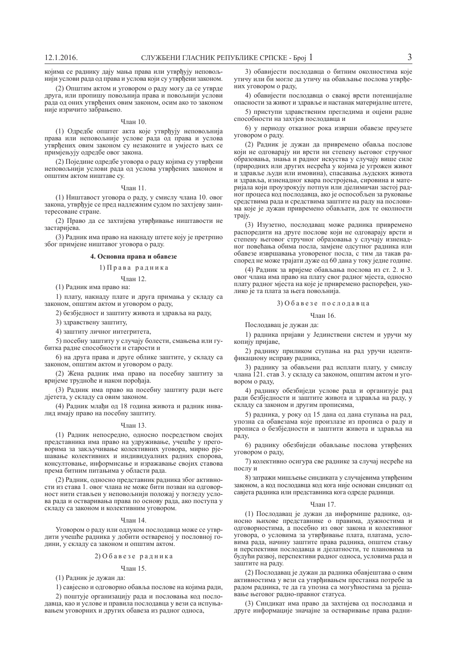којима се раднику дају мања права или утврђују неповољнији услови рада од права и услова који су утврђени законом.

(2) Општим актом и уговором о раду могу да се утврде друга, или пропишу повољнија права и повољнији услови рада од оних утврђених овим законом, осим ако то законом није изричито забрањено.

## Члан 10.

(1) Одредбе општег акта које утврђују неповољнија права или неповољније услове рада од права и услова утврђених овим законом су незаконите и умјесто њих се примјењују одредбе овог закона.

(2) Поједине одредбе уговора о раду којима су утврђени неповољнији услови рада од услова утврђених законом и општим актом ништаве су.

#### $V$ пан 11

(1) Ништавост уговора о раду, у смислу члана 10. овог закона, утврђује се пред надлежним судом по захтјеву заинтересоване стране.

(2) Право ла се захтијева утврђивање ништавости не застаријева.

(3) Радник има право на накнаду штете коју је претрпио због примјене ништавог уговора о раду.

### $4.$  Основна права и обавезе

## 1) Права радника

Члан 12.

(1) Радник има право на:

1) плату, накнаду плате и друга примања у складу са законом, општим актом и уговором о раду,

2) безбједност и заштиту живота и здравља на раду,

3) здравствену заштиту,

4) заштиту личног интегритета,

5) посебну заштиту у случају болести, смањења или губитка радне способности и старости и

6) на друга права и друге облике заштите, у складу са законом, општим актом и уговором о раду.

(2) Жена радник има право на посебну заштиту за вријеме трудноће и након порођаја.

(3) Радник има право на посебну заштиту ради његе дјетета, у складу са овим законом.

(4) Радник млађи од 18 година живота и радник инвалид имају право на посебну заштиту.

## Члан 13.

(1) Радник непосредно, односно посредством својих представника има право на удруживање, учешће у преговорима за закључивање колективних уговора, мирно рјешавање колективних и индивидуалних радних спорова, консултовање, информисање и изражавање својих ставова према битним питањима у области рада.

(2) Радник, односно представник радника због активности из става 1. овог члана не може бити позван на одговорност нити стављен у неповољнији положај у погледу услова рада и остваривања права по основу рада, ако поступа у складу са законом и колективним уговором.

## Члан 14.

Уговором о раду или одлуком послодавца може се утврдити учешће радника у добити оствареној у пословној години, у складу са законом и општим актом.

## $2)$  Обавезе радника

## $q_{\text{пан}}$  15

(1) Радник је дужан да:

1) савјесно и одговорно обавља послове на којима ради,

2) поштује организацију рада и пословања код послодавца, као и услове и правила послодавца у вези са испуњавањем уговорних и других обавеза из радног односа,

3) обавијести послодавца о битним околностима које утичу или би могле да утичу на обављање послова утврђених уговором о раду,

4) обавијести послодавца о свакој врсти потенцијалне опасности за живот и здравље и настанак материјалне штете,

5) приступи здравственим прегледима и оцјени радне способности на захтјев послодавца и

6) у периоду отказног рока изврши обавезе преузете уговором о раду.

(2) Радник је дужан да привремено обавља послове који не одговарају ни врсти ни степену његовог стручног образовања, знања и радног искуства у случају више силе (природних или других несрећа у којима је угрожен живот и здравље људи или имовина), спасавања људских живота и здравља, изненадног квара постројења, сировина и материјала који проузрокују потпун или дјелимичан застој радног процеса код послодавца, ако је оспособљен за руковање средствима рада и средствима заштите на раду на пословима које је дужан привремено обављати, док те околности rpajy.

(3) Изузетно, послодавац може радника привремено распоредити на друге послове који не одговарају врсти и степену његовог стручног образовања у случају изненадног повећања обима посла, замјене одсутног радника или обавезе извршавања уговореног посла, с тим да такав распоред не може трајати дуже од 60 дана у току једне године.

(4) Радник за вријеме обављања послова из ст. 2. и 3. овог члана има право на плату свог радног мјеста, односно плату радног мјеста на које је привремено распоређен, уколико је та плата за њега повољнија.

## $3)$  Обавезе послодавца

Члан 16.

Послодавац је дужан да:

1) радника пријави у Јединствени систем и уручи му копију пријаве

2) раднику приликом ступања на рад уручи идентификациону исправу радника,

3) раднику за обављени рад исплати плату, у смислу члана 121. став 3. у складу са законом, општим актом и уговором о раду,

4) раднику обезбиједи услове рада и организује рад ради безбједности и заштите живота и здравља на раду, у складу са законом и другим прописима,

5) радника, у року од 15 дана од дана ступања на рад, упозна са обавезама које произлазе из прописа о раду и прописа о безбједности и заштити живота и здравља на раду,

6) раднику обезбиједи обављање послова утврђених уговором о раду,

7) колективно осигура све раднике за случај несреће на послу и

8) затражи мишљење синдиката у случајевима утврђеним законом, а код послодавца код кога није основан синдикат од савјета радника или представника кога одреде радници.

### Члан 17.

(1) Послодавац је дужан да информише раднике, односно њихове представнике о правима, дужностима и одговорностима, а посебно из овог закона и колективног уговора, о условима за утврђивање плата, платама, условима рада, начину заштите права радника, општем стању и перспективи послодавца и дјелатности, те плановима за будући развој, перспективи радног односа, условима рада и заштите на раду.

(2) Послодавац је дужан да радника обавјештава о свим активностима у вези са утврђивањем престанка потребе за радом радника, те да га упозна са могућностима за рјешавање његовог радно-правног статуса.

(3) Синдикат има право да захтијева од послодавца и друге информације значајне за остваривање права радни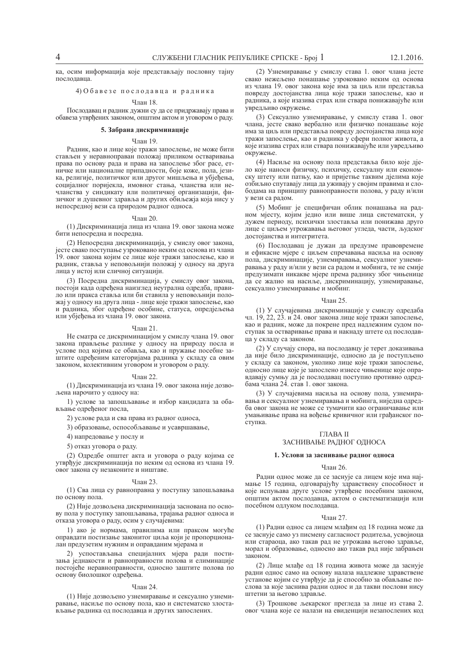ка, осим информација које представљају пословну тајну послодавца

## 4) Обавезе послодавца и радника

## $q_{\text{HAH}}$  18

Послодавац и радник дужни су да се придржавају права и обавеза утврђених законом, општим актом и уговором о раду.

## 5. Забрана дискриминације

## Члан 19.

Радник, као и лице које тражи запослење, не може бити стављен у неравноправан положај приликом остваривања права по основу рада и права на запослење због расе, етничке или националне припалности, боје коже, пола, језика, религије, политичког или другог мишљења и убјеђења, социјалног поријекла, имовног стања, чланства или нечланства у синдикату или политичкој организацији, физичког и душевног здравља и других обиљежја која нису у непосредној вези са природом радног односа.

### $q_{\text{пан}} 20$

(1) Дискриминација лица из члана 19. овог закона може бити непосредна и посредна.

(2) Непосредна дискриминација, у смислу овог закона, јесте свако поступање узроковано неким од основа из члана 19. овог закона којим се лице које тражи запослење, као и радник, ставља у неповољнији положај у односу на друга анца у истој или сличној ситуацији.

(3) Посредна дискриминација, у смислу овог закона, постоји када одређена наизглед неутрална одредба, правило или пракса ставља или би ставила у неповољнији положај у односу на друга лица - лице које тражи запослење, као и радника, због одређене особине, статуса, опредјељења или убјеђења из члана 19. овог закона.

## Члан 21.

Не сматра се дискриминацијом у смислу члана 19. овог закона прављење разлике у односу на природу посла и үслове под којима се обавља, као и пружање посебне заитите одређеним категоријама радника у складу са овим законом, колективним уговором и уговором о раду.

### Члан 22.

(1) Дискриминација из члана 19. овог закона није дозвољена нарочито у односу на:

1) услове за запошљавање и избор канлилата за обављање одређеног посла,

2) услове рада и сва права из радног односа,

3) образовање, оспособљавање и усавршавање,

4) напредовање у послу и

5) отказ уговора о раду.

(2) Одредбе општег акта и уговора о раду којима се утврђује дискриминација по неким од основа из члана 19. **свог** закона су незаконите и ништаве.

#### $U_{\text{HAH}}$  23.

(1) Сва лица су равноправна у поступку запошљавања по основу пола.

(2) Није дозвољена дискриминација заснована по основу пола у поступку запошљавања, трајања радног односа и отказа уговора о раду, осим у случајевима:

1) ако је нормама, правилима или праксом могуће оправдати постизање законитог циља који је пропорционалан предузетим нужним и оправданим мјерама и

2) успостављања специјалних мјера ради постизања једнакости и равноправности полова и елиминације постојеће неравноправности, односно заштите полова по основу биолошког одређења.

## Члан 24.

(1) Није дозвољено узнемиравање и сексуално узнемиравање, насиље по основу пола, као и систематско злостављање радника од послодавца и других запослених.

(2) Узнемиравање у смислу става 1. овог члана јесте свако нежељено понашање узроковано неким од основа из члана 19. овог закона које има за циљ или представља повреду достојанства лица које тражи запослење, као и радника, а које изазива страх или ствара понижавајуће или увредљиво окружење.

(3) Сексуално узнемиравање, у смислу става 1. овог члана, јесте свако вербално или физичко понашање које има за циљ или представља повреду достојанства лица које тражи запослење, као и радника у сфери полног живота, а које изазива страх или ствара понижавајуће или увредљиво окружење.

(4) Насиље на основу пола представља било које дјело које наноси физичку, психичку, сексуалну или економску штету или патњу, као и пријетње таквим дјелима које озбиљно спутавају лица да уживају у својим правима и слободама на принципу равноправности полова, у раду и/или у вези са радом.

(5) Мобинг је специфичан облик понашања на радном мјесту, којим једно или више лица систематски, у дужем периоду, психички злоставља или понижава друго ище с циљем угрожавања његовог угледа, части, људског достојанства и интегритета.

(6) Послодавац је дужан да предузме правовремене и ефикасне мјере с циљем спречавања насиља на основу пола, дискриминације, узнемиравања, сексуалног узнемиравања у раду и/или у вези са радом и мобинга, те не смије дведузимати никакве мјере према раднику због чињенице да се жалио на насиље, дискриминацију, узнемиравање, сексуално узнемиравање и мобинг.

#### $q_{\text{max}}$  25.

(1) У случајевима дискриминације у смислу одредаба чл. 19, 22, 23. и 24. овог закона лице које тражи запослење, као и радник, може да покрене пред надлежним судом поступак за остваривање права и накнаду штете од послодавца у складу са законом.

(2) У случају спора, на послодавцу је терет доказивања да није било дискриминације, односно да је поступљено у складу са законом, уколико лице које тражи запослење, односно лице које је запослено изнесе чињенице које оправдавају сумњу да је послодавац поступио противно одредбама члана 24. став 1. овог закона.

(3) У случајевима насиља на основу пола, узнемиравања и сексуалног узнемиравања и мобинга, ниједна одредба овог закона не може се тумачити као ограничавање или умањивање права на вођење кривичног или грађанског поступка.

## ГЛАВА II

## ЗАСНИВАЊЕ РАДНОГ ОДНОСА

### 1. Услови за заснивање радног односа

## Члан 26.

Радни однос може да се заснује са лицем које има најмање 15 година, одговарајућу здравствену способност и које испуњава друге услове утврђене посебним законом, општим актом послодавца, актом о систематизацији или посебном одлуком послодавца.

#### $q$ пан 27

(1) Радни однос са лицем млађим од 18 година може да се заснује само уз писмену сагласност родитеља, усвојиоца или стараоца, ако такав рад не угрожава његово здравље, морал и образовање, односно ако такав рад није забрањен законом.

(2) Лице млађе од 18 година живота може да заснује радни однос само на основу налаза надлежне здравствене установе којим се утврђује да је способно за обављање послова за које заснива радни однос и да такви послови нису штетни за његово здравље.

(3) Трошкове љекарског прегледа за лице из става 2. овог члана које се налази на евиденцији незапослених код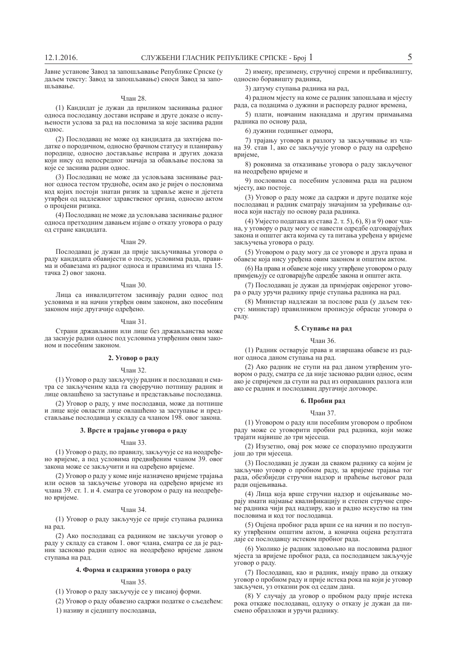Јавне установе Завод за запошљавање Републике Српске (у даљем тексту: Завод за запошљавање) сноси Завод за запоɲʂɚɜɚʃɟ.

## Члан 28.

(1) Кандидат је дужан да приликом заснивања радног односа послодавцу достави исправе и друге доказе о испуњености услова за рад на пословима за које заснива радни однос.

(2) Послодавац не може од кандидата да захтијева податке о породичном, односно брачном статусу и планирању породице, односно достављање исправа и других доказа који нису од непосредног значаја за обављање послова за које се заснива радни однос.

(3) Послодавац не може да условљава заснивање радног односа тестом трудноће, осим ако је ријеч о пословима код којих постоји знатан ризик за здравље жене и дјетета утврђен од надлежног здравственог органа, односно актом о проціени ризика.

(4) Послодавац не може да условљава заснивање радног односа претходним давањем изјаве о отказу уговора о раду од стране кандидата.

#### Члан 29.

Послодавац је дужан да прије закључивања уговора о раду кандидата обавијести о послу, условима рада, правима и обавезама из радног односа и правилима из члана 15. тачка 2) овог закона.

#### $q_{\text{HAH}}$  30

Лица са инвалидитетом заснивају радни однос под условима и на начин утврђен овим законом, ако посебним законом није другачије одређено.

## Члан 31.

Страни држављанин или лице без држављанства може да заснује радни однос под условима утврђеним овим законом и посебним законом.

## 2. Уговор о раду

## Члан 32.

(1) Уговор о раду закључују радник и послодавац и сматра се закљученим када га својеручно потпишу радник и лице овлашћено за заступање и представљање послодавца.

(2) Уговор о раду, у име послодавца, може да потпише и лице које овласти лице овлашћено за заступање и представљање послодавца у складу са чланом 198. овог закона.

## 3. Врсте и трајање уговора о раду

## Члан 33.

(1) Уговор о раду, по правилу, закључује се на неодређено вријеме, а под условима предвиђеним чланом 39. овог закона може се закључити и на одређено вријеме.

(2) Уговор о раду у коме није назначено вријеме трајања или основ за закључење уговора на одређено вријеме из члана 39. ст. 1. и 4. сматра се уговором о раду на неодређено вријеме.

### Члан 34.

(1) Уговор о раду закључује се прије ступања радника на рад.

(2) Ако послодавац са радником не закључи уговор о раду у складу са ставом 1. овог члана, сматра се да је радник засновао радни однос на неодређено вријеме даном ступања на рад.

## $4.$  Форма и садржина уговора о раду

## $q_{\text{пан}}$  35

(1) Уговор о раду закључује се у писаној форми.

(2) Уговор о раду обавезно садржи податке о сљедећем:

1) називу и сједишту послодавца,

2) имену, презимену, стручној спреми и пребивалишту, односно боравишту радника,

3) датуму ступања радника на рад,

4) радном мјесту на коме се радник запошљава и мјесту рада, са подацима о дужини и распореду радног времена,

5) плати, новчаним накнадама и другим примањима радника по основу рада,

6) дужини годишњег одмора,

7) трајању уговора и разлогу за закључивање из члана 39. став 1, ако се закључује уговор о раду на одређено вријеме.

8) роковима за отказивање уговора о раду закљученог на неодређено вријеме и

9) пословима са посебним условима рада на радном міесту, ако постоје.

(3) Уговор о раду може да садржи и друге податке које послодавац и радник сматрају значајним за уређивање односа који настају по основу рада радника.

(4) Уміесто података из става 2. т. 5), 6), 8) и 9) овог члана, у уговору о раду могу се навести одредбе одговарајућих закона и општег акта којима су та питања уређена у вријеме закључења уговора о раду.

(5) Уговором о раду могу да се уговоре и друга права и обавезе која нису уређена овим законом и општим актом.

(6) На права и обавезе које нису утврђене уговором о раду примјењују се одговарајуће одредбе закона и општег акта.

(7) Послодавац је дужан да примјерак овјереног уговора о раду уручи раднику прије ступања радника на рад.

(8) Министар надлежан за послове рада (у даљем тексту: министар) правилником прописује обрасце уговора о раду.

## 5. Ступање на рад

### Члан 36.

(1) Радник остварује права и извршава обавезе из радног односа даном ступања на рад.

(2) Ако ралник не ступи на рал ланом утврћеним уговором о раду, сматра се да није засновао радни однос, осим ако је спријечен да ступи на рад из оправданих разлога или ако се радник и послодавац другачије договоре.

## **6.** Пробни рад

#### $q_{\text{пан}}$  37

(1) Уговором о раду или посебним уговором о пробном раду може се уговорити пробни рад радника, који може трајати највише до три мјесеца.

(2) Изузетно, овај рок може се споразумно продужити іош до три міесеца.

(3) Послодавац је дужан да сваком раднику са којим је закључио уговор о пробном раду, за вријеме трајања тог рада, обезбиједи стручни надзор и праћење његовог рада ради оціењивања.

(4) Лица која врше стручни надзор и оцјењивање морају имати најмање квалификацију и степен стручне спреме радника чији рад надзиру, као и радно искуство на тим пословима и код тог послодавца.

(5) Оцјена пробног рада врши се на начин и по поступку утврђеним општим актом а коначна опјена резултата даје се послодавцу истеком пробног рада.

(6) Уколико је радник задовољио на пословима радног мјеста за вријеме пробног рада, са послодавцем закључује уговор о раду.

(7) Послодавац, као и радник, имају право да откажу уговор о пробном раду и прије истека рока на који је уговор закључен, уз отказни рок од седам дана.

(8) У случају да уговор о пробном раду прије истека рока откаже послодавац, одлуку о отказу је дужан да писмено образложи и уручи раднику.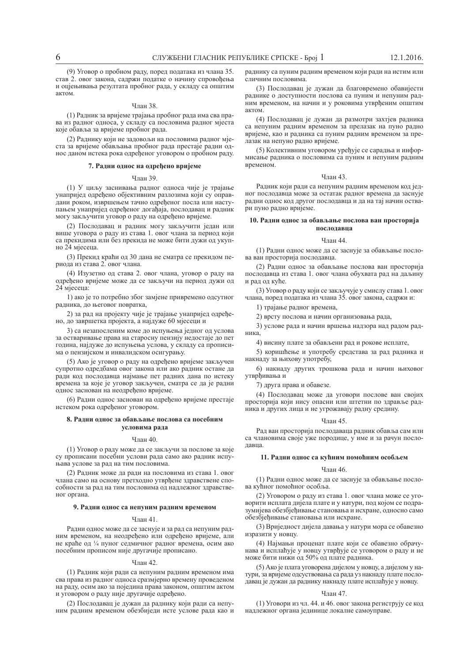(9) Уговор о пробном раду, поред података из члана 35. став 2. овог закона, садржи податке о начину спровођења и оцјењивања резултата пробног рада, у складу са општим  $8KTOM$ 

## Члан 38.

(1) Радник за вријеме трајања пробног рада има сва права из радног односа, у складу са пословима радног мјеста које обавља за вријеме пробног рада.

(2) Раднику који не задовољи на пословима радног мјеста за вријеме обављања пробног рада престаје радни однос даном истека рока одређеног уговором о пробном раду.

## 7. Радни однос на одређено вријеме

## Члан 39.

(1) У циљу заснивања радног односа чије је трајање унапријед одређено објективним разлозима који су оправдани роком, извршењем тачно одређеног посла или наступањем унапријед одређеног догађаја, послодавац и радник могу закључити уговор о раду на одређено вријеме.

(2) Послодавац и радник могу закључити један или више уговора о раду из става 1. овог члана за период који са прекидима или без прекида не може бити дужи од укупно 24 мјесеца.

(3) Прекид краћи од 30 дана не сматра се прекидом периода из става 2. овог члана.

(4) Изузетно од става 2. овог члана, уговор о раду на одређено вријеме може да се закључи на период дужи од 24 мјесеца:

1) ако је то потребно због замјене привремено одсутног радника, до његовог повратка,

2) за рад на пројекту чије је трајање унапријед одређено, до завршетка пројекта, а најдуже 60 мјесеци и

3) са незапосленим коме до испуњења једног од услова за остваривање права на старосну пензију недостаје до пет година, најдуже до испуњења услова, у складу са прописима о пензијском и инвалидском осигурању.

(5) Ако је уговор о раду на одређено вријеме закључен супротно одредбама овог закона или ако радник остане да ради код послодавца најмање пет радних дана по истеку времена за које је уговор закључен, сматра се да је радни однос заснован на неодређено вријеме.

(6) Радни однос заснован на одређено вријеме престаје истеком рока одређеног уговором.

## $8.$  Рални однос за обављање послова са посебним условима рада

#### $q_{\text{HAH}}$  40

(1) Уговор о раду може да се закључи за послове за које су прописани посебни услови рада само ако радник испуњава услове за рад на тим пословима.

(2) Радник може да ради на пословима из става 1. овог члана само на основу претходно утврђене здравствене способности за рад на тим пословима од надлежног здравственог органа.

## 9. Радни однос са непуним радним временом

## ɑɥɚɧ 41.

Радни однос може да се заснује и за рад са непуним радним временом, на неодређено или одређено вријеме, али не краће од 1/4 пуног седмичног радног времена, осим ако посебним прописом није другачије прописано.

#### Члан 42.

(1) Радник који ради са непуним радним временом има сва права из радног односа сразмјерно времену проведеном на раду, осим ако за поједина права законом, општим актом и уговором о раду није другачије одређено.

(2) Послодавац је дужан да раднику који ради са непуним радним временом обезбиједи исте услове рада као и раднику са пуним радним временом који ради на истим или сличним пословима.

(3) Послодавац је дужан да благовремено обавијести раднике о доступности послова са пуним и непуним радним временом, на начин и у роковима утврђеним општим актом

(4) Послодавац је дужан да размотри захтјев радника са непуним радним временом за прелазак на пуно радно вријеме, као и радника са пуним радним временом за прелазак на непуно радно вријеме.

(5) Колективним уговором уређује се сарадња и информисање радника о пословима са пуним и непуним радним временом.

#### Члан 43.

Радник који ради са непуним радним временом код једног послодавца може за остатак радног времена да заснује радни однос код другог послодавца и да на тај начин оствари пуно радно вријеме.

## 10. Радни однос за обављање послова ван просторија **UOCHOJABIIS**

## **Члан 44**

(1) Радни однос може да се заснује за обављање послова ван просторија послодавца.

(2) Радни однос за обављање послова ван просторија послодавца из става 1. овог члана обухвата рад на даљину и рад од куће.

(3) Уговор о раду који се закључује у смислу става 1. овог члана, поред података из члана 35. овог закона, садржи и:

1) трајање радног времена,

2) врсту послова и начин организовања рада,

3) услове рада и начин вршења надзора над радом радника

4) висину плате за обављени рад и рокове исплате,

5) коришћење и употребу средстава за рад радника и накнаду за њихову употребу,

6) накнаду других трошкова рада и начин њиховог утврђивања и

7) друга права и обавезе.

(4) Послодавац може да уговори послове ван својих просторија који нису опасни или штетни по злравље радника и других лица и не угрожавају радну средину.

### Члан 45.

Рал ван просторија послодаваца радник обавља сам или са члановима своје уже породице, у име и за рачун послодавца.

## 11. Радни однос са кућним помоћним особљем

#### Члан 46.

(1) Радни однос може да се заснује за обављање послова кућног помоћног особља.

(2) Уговором о раду из става 1. овог члана може се уговорити исплата дијела плате и у натури, под којом се подразумијева обезбјеђивање становања и исхране, односно само обезбјеђивање становања или исхране.

(3) Вриједност дијела давања у натури мора се обавезно изразити у новцу.

(4) Најмањи проценат плате који се обавезно обрачунава и исплаћује у новцу утврђује се уговором о раду и не може бити нижи од 50% од плате радника.

(5) Ако је плата уговорена дијелом у новцу, а дијелом у натури, за вријеме одсуствовања са рада уз накнаду плате послодавац је дужан да раднику накнаду плате исплаћује у новцу.

## Члан 47.

(1) Уговори из чл. 44. и 46. овог закона региструју се код надлежног органа јединице локалне самоуправе.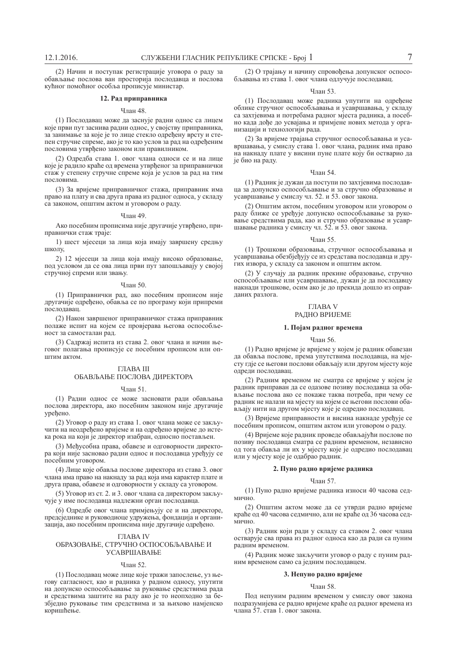(2) Начин и поступак регистрације уговора о раду за обављање послова ван просторија послодавца и послова кућног помоћног особља прописује министар.

## 12. Рад приправника

## $q_{\text{HAH}}$  48

(1) Послодавац може да заснује радни однос са лицем које први пут заснива радни однос, у својству приправника, за занимање за које је то лице стекло одређену врсту и степен стручне спреме, ако је то као услов за рад на одређеним пословима утврђено законом или правилником.

(2) Одредба става 1. овог члана односи се и на лице које је радило краће од времена утврђеног за приправнички стаж у степену стручне спреме која је услов за рад на тим пословима

(3) За вријеме приправничког стажа, приправник има право на плату и сва друга права из радног односа, у складу са законом, општим актом и уговором о раду.

### Члан 49.

Ако посебним прописима није другачије утврђено, приправнички стаж траје:

1) шест мјесеци за лица која имају завршену средњу школу.

2) 12 мјесеци за лица која имају високо образовање, под условом да се ова лица први пут запошљавају у својој стручној спреми или звању.

#### Члан 50.

(1) Приправнички рад, ако посебним прописом није другачије одређено, обавља се по програму који припреми послодавац.

(2) Након завршеног приправничког стажа приправник полаже испит на којем се провјерава његова оспособљеност за самосталан рад.

(3) Салржаі испита из става 2. овог члана и начин његовог полагања прописује се посебним прописом или општим актом.

## ΓΠΑ<sub>RA</sub> III

## ОБАВЉАЊЕ ПОСЛОВА ДИРЕКТОРА

## ɑɥɚɧ 51.

(1) Радни однос се може засновати ради обављања послова директора, ако посебним законом није другачије уређено.

(2) Уговор о раду из става 1. овог члана може се закључити на неодређено вријеме и на одређено вријеме до истека рока на који је директор изабран, односно постављен.

(3) Међусобна права, обавезе и одговорности директора који није засновао радни однос и послодавца уређују се посебним уговором.

(4) Лице које обавља послове директора из става 3. овог члана има право на накнаду за рад која има карактер плате и друга права, обавезе и одговорности у складу са уговором.

(5) Уговор из ст. 2. и 3. овог члана са директором закључује у име послодавца надлежни орган послодавца.

(6) Одредбе овог члана примјењују се и на директоре, предсједнике и руководиоце удружења, фондација и организација, ако посебним прописима није другачије одређено.

## ГЛАВА IV ОБРАЗОВАЊЕ, СТРУЧНО ОСПОСОБЉАВАЊЕ И УСАВРШАВАЊЕ

### $q_{\text{HAH}}$  52.

(1) Послодавац може лице које тражи запослење, уз његову сагласност, као и радника у радном односу, упутити на допунско оспособљавање за руковање средствима рада и средствима заштите на раду ако је то неопходно за безбједно руковање тим средствима и за њихово намјенско коришћење.

(2) О трајању и начину спровођења допунског оспособљавања из става 1. овог члана одлучује послодавац.

### ɑɥɚɧ 53.

(1) Послодавац може радника упутити на одређене облике стручног оспособљавања и усавршавања, у складу са захтјевима и потребама радног мјеста радника, а посебно када дође до усвајања и примјене нових метода у организацији и технологији рада.

(2) За вријеме трајања стручног оспособљавања и усавршавања, у смислу става 1. овог члана, радник има право на накнаду плате у висини пуне плате коју би остварио да је био на раду.

#### Члан 54.

(1) Радник је дужан да поступи по захтјевима послодавца за допунско оспособљавање и за стручно образовање и усавршавање у смислу чл. 52. и 53. овог закона.

(2) Општим актом, посебним уговором или уговором о раду ближе се уређује допунско оспособљавање за руковање средствима рада, као и стручно образовање и усавршавање радника у смислу чл. 52. и 53. овог закона.

## Члан 55.

(1) Трошкови образовања, стручног оспособљавања и усавршавања обезбјеђују се из средстава послодавца и других извора, у складу са законом и општим актом.

(2) У случају да радник прекине образовање, стручно оспособљавање или усавршавање, дужан је да послодавцу накнади трошкове, осим ако је до прекида дошло из оправданих разлога.

## ГЛАВА V РАЛНО ВРИЈЕМЕ

## 1. Појам радног времена

### Члан 56.

(1) Радно вријеме је вријеме у којем је радник обавезан да обавља послове, према упутствима послодавца, на мјесту гдје се његови послови обављају или другом мјесту које одреди послодавац.

(2) Радним временом не сматра се вријеме у којем је радник приправан да се одазове позиву послодавца за оба- $\overline{B}$ љање послова ако се покаже таква потреба, при чему се ралник не налази на міесту на којем се његови послови обављају нити на другом мјесту које је одредио послодавац.

(3) Вријеме приправности и висина накнаде уређује се посебним прописом, општим актом или уговором о раду.

(4) Вријеме које радник проведе обављајући послове по позиву послодавца сматра се радним временом, независно од тога обавља ли их у мјесту које је одредио послодавац или у мјесту које је одабрао радник.

## 2. Пуно радно вријеме радника

## $V<sub>ПАН</sub> 57.$

(1) Пуно радно вријеме радника износи 40 часова сед-MUHHO

(2) Општим актом може да се утврди радно вријеме краће од 40 часова селмично, али не краће од 36 часова селмично.

(3) Радник који ради у складу са ставом 2. овог члана остварује сва права из радног односа као да ради са пуним радним временом.

(4) Радник може закључити уговор о раду с пуним радним временом само са једним послодавцем.

## 3. Непуно радно вријеме

## **Члан 58**

Под непуним радним временом у смислу овог закона подразумијева се радно вријеме краће од радног времена из члана 57. став 1. овог закона.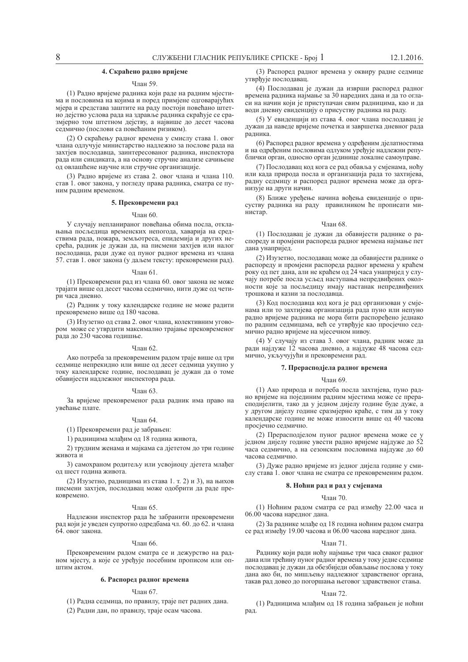## $4.$  Скраћено радно вријеме

## $q_{\text{пан}}$  59

(1) Радно вријеме радника који раде на радним мјестима и пословима на којима и поред примјене одговарајућих мјера и средстава заштите на раду постоји повећано штетно дејство услова рада на здравље радника скраћује се сразмјерно том штетном дејству, а највише до десет часова седмично (послови са повећаним ризиком).

(2) О скраћењу радног времена у смислу става 1. овог члана одлучује министарство надлежно за послове рада на захтјев послодавца, заинтересованог радника, инспектора рада или синдиката, а на основу стручне анализе сачињене од овлашћене научне или стручне организације.

(3) Радно вријеме из става 2. овог члана и члана 110. став 1. овог закона, у погледу права радника, сматра се пуним радним временом.

## 5. Прековремени рад

#### Члан 60.

У случају непланираног повећања обима посла, отклањања посљедица временских непогода, хаварија на средствима рада, пожара, земљотреса, епидемија и других несрећа, радник је дужан да, на писмени захтјев или налог послодавца, ради дуже од пуног радног времена из члана 57. став 1. овог закона (у даљем тексту: прековремени рад).

#### Члан 61.

(1) Прековремени рад из члана 60. овог закона не може трајати више од десет часова седмично, нити дуже од четири часа дневно.

(2) Радник у току календарске године не може радити прековремено више од 180 часова.

(3) Изузетно од става 2. овог члана, колективним уговором може се утврдити максимално трајање прековременог рада до 230 часова годишње.

## Члан 62.

Ако потреба за прековременим радом траје више од три седмице непрекидно или више од десет седмица укупно у току календарске године, послодавац је дужан да о томе обавијести надлежног инспектора рада.

## Члан 63.

За вријеме прековременог рада радник има право на увећање плате.

## Члан 64.

(1) Прековремени рад је забрањен:

1) радницима млађим од 18 година живота,

2) трудним женама и мајкама са дјететом до три године живота и

3) самохраном родитељу или усвојиоцу дјетета млађег од шест година живота.

(2) Изузетно, радницима из става 1. т. 2) и 3), на њихов писмени захтјев, послодавац може одобрити да раде прековремено.

### Члан 65.

Надлежни инспектор рада ће забранити прековремени рад који је уведен супротно одредбама чл. 60. до 62. и члана  $64.$  овог закона.

#### Члан 66.

Прековременим радом сматра се и дежурство на радном мјесту, а које се уређује посебним прописом или оп-**IIITHM AKTOM.** 

## $6.$  Распоред радног времена

## $q$ пан 67

(1) Радна седмица, по правилу, траје пет радних дана. (2) Радни дан, по правилу, траје осам часова.

(3) Распоред радног времена у оквиру радне седмице утврђује послодавац.

(4) Послодавац је дужан да изврши распоред радног времена радника најмање за 30 наредних дана и да то огласи на начин који је приступачан свим радницима, као и да води дневну евиденцију о присуству радника на раду.

(5) У евиденцији из става 4. овог члана послодавац је дужан да наведе вријеме почетка и завршетка дневног рада радника.

(6) Распоред радног времена у одређеним дјелатностима и на одређеним пословима одлуком уређује надлежни републички орган, односно орган јединице локалне самоуправе.

(7) Послодавац код кога се рад обавља у смјенама, ноћу или када природа посла и организација рада то захтијева, радну седмицу и распоред радног времена може да организује на други начин.

(8) Ближе уређење начина вођења евиденције о присуству радника на раду правилником ће прописати министар.

#### Члан 68.

(1) Послодавац је дужан да обавијести раднике о распореду и промјени распореда радног времена најмање пет дана унапријед.

(2) Изузетно, послодавац може да обавијести раднике о распореду и промјени распореда радног времена у краћем  $\frac{1}{1}$ року од пет дана, али не краћем од 24 часа унапријед у случају потребе посла усљед наступања непредвиђених околности које за посљедицу имају настанак непредвиђених трошкова и казни за послолавна.

(3) Код послодавца код кога је рад организован у смјенама или то захтијева организација рада пуно или непуно радно вријеме радника не мора бити распоређено једнако по радним седмицама, већ се утврђује као просјечно седмично радно вријеме на мјесечном нивоу.

(4) У случају из става 3. овог члана, радник може да ради најдуже 12 часова дневно, а најдуже 48 часова седмично, укључујући и прековремени рад.

## 7. Прерасподјела радног времена

## Члан 69.

(1) Ако природа и потреба посла захтијева, пуно радно вријеме на појединим радним мјестима може се прерасподијелити, тако да у једном дијелу године буде дуже, а у другом дијелу године сразмјерно краће, с тим да у току календарске године не може износити више од 40 часова просјечно седмично.

(2) Прерасподјелом пуног радног времена може се у једном дијелу године увести радно вријеме најдуже до 52 часа седмично, а на сезонским пословима најдуже до 60 часова седмично.

(3) Дуже радно вријеме из једног дијела године у смислу става 1. овог члана не сматра се прековременим радом.

## $8.$  **Ноћни рад и рад у смјенама**

#### $q_{\text{HAH}}$  70

(1) Ноћним радом сматра се рад између 22.00 часа и 06.00 часова наредног дана.

(2) За раднике млаће од 18 година ноћним радом сматра се рад између 19.00 часова и 06.00 часова наредног дана.

#### ɑɥɚɧ 71.

Раднику који ради ноћу најмање три часа сваког радног дана или трећину пуног радног времена у току једне седмице послодавац је дужан да обезбиједи обављање послова у току дана ако би, по мишљењу надлежног здравственог органа, такав рад довео до погоршања његовог здравственог стања.

## Члан 72.

(1) Радницима млађим од 18 година забрањен је ноћни рад.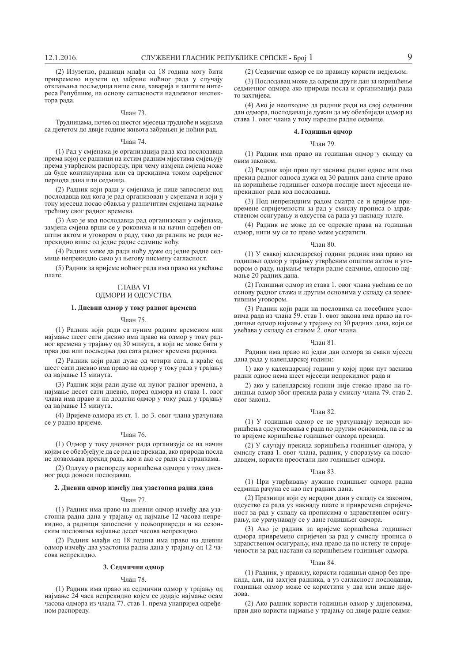(2) Изузетно, радници млађи од 18 година могу бити привремено изузети од забране ноћног рада у случају отклањања посљедица више силе, хаварија и заштите интереса Републике, на основу сагласности надлежног инспек- $\overline{r}$ ора рада.

### Члан 73.

Трудницама, почев од шестог мјесеца трудноће и мајкама са дјететом до двије године живота забрањен је ноћни рад.

## Члан 74.

(1) Рад у смјенама је организација рада код послодавца према којој се радници на истим радним мјестима смјењују према утврђеном распореду, при чему измјена смјена може да буде континуирана или са прекидима током одређеног периода дана или седмица.

(2) Радник који ради у смјенама је лице запослено код послодавца код кога је рад организован у смјенама и који у току мјесеца посао обавља у различитим смјенама најмање трећину свог радног времена.

(3) Ако је код послодавца рад организован у смјенама, замјена смјена врши се у роковима и на начин одређен општим актом и уговором о раду, тако да радник не ради непрекидно више од једне радне седмице ноћу.

(4) Радник може да ради ноћу дуже од једне радне седмице непрекидно само уз његову писмену сагласност.

(5) Радник за вријеме ноћног рада има право на увећање плате

## *CITABA VI* ОДМОРИ И ОДСУСТВА

## 1. Дневни одмор у току радног времена

### Члан 75.

(1) Радник који ради са пуним радним временом или најмање шест сати дневно има право на одмор у току радног времена у трајању од 30 минута, а који не може бити у прва два или посљедња два сата радног времена радника.

(2) Радник који ради дуже од четири сата, а краће од шест сати дневно има право на одмор у току рада у трајању од најмање 15 минута.

(3) Радник који ради дуже од пуног радног времена, а најмање десет сати дневно, поред одмора из става 1. овог члана има право и на додатни одмор у току рада у трајању од најмање  $\overline{15}$  минута.

(4) Вријеме одмора из ст. 1. до 3. овог члана урачунава се у радно вријеме.

#### Члан 76.

(1) Одмор у току дневног рада организује се на начин којим се обезбјеђује да се рад не прекида, ако природа посла не дозвољава прекид рада, као и ако се ради са странкама.

(2) Одлуку о распореду коришћења одмора у току дневног рада доноси послодавац.

## 2. Дневни одмор између два узастопна радна дана

### Члан 77.

(1) Радник има право на дневни одмор између два узастопна радна дана у трајању од најмање 12 часова непрекидно, а радници запослени у пољопривреди и на сезонским пословима најмање десет часова непрекидно.

(2) Радник млађи од 18 година има право на дневни одмор између два узастопна радна дана у трајању од 12 часова непрекидно.

## 3. Седмични одмор

#### ɑɥɚɧ 78.

(1) Радник има право на седмични одмор у трајању од најмање 24 часа непрекидно којем се додаје најмање осам часова одмора из члана 77. став 1. према унапријед одређеном распореду.

(2) Седмични одмор се по правилу користи недјељом.

(3) Послодавац може да одреди други дан за коришћење седмичног одмора ако природа посла и организација рада то захтијева.

(4) Ако је неопходно да радник ради на свој седмични дан одмора, послодавац је дужан да му обезбиједи одмор из става 1. овог члана у току наредне радне седмице.

## $4.$  Годишњи одмор

## Члан 79.

(1) Радник има право на годишњи одмор у складу са овим законом.

(2) Радник који први пут заснива радни однос или има прекид радног односа дужи од 30 радних дана стиче право на коришћење годишњег одмора послије шест мјесеци непрекидног рада код послодавца.

(3) Под непрекидним радом сматра се и вријеме привремене спријечености за рад у смислу прописа о здравственом осигурању и одсуства са рада уз накнаду плате.

(4) Радник не може да се одрекне права на годишњи одмор, нити му се то право може ускратити.

#### **Члан 80**

(1) У свакој календарској години радник има право на годишњи одмор у трајању утврђеним општим актом и уговором о раду, најмање четири радне седмице, односно најмање 20 радних дана.

(2) Годишњи одмор из става 1. овог члана увећава се по основу радног стажа и другим основима у складу са колективним уговором.

(3) Радник који ради на пословима са посебним условима рала из члана 59. став 1. овог закона има право на годишњи одмор најмање у трајању од 30 радних дана, који се увећава у складу са ставом 2. овог члана.

## $V$ пан 81

Радник има право на један дан одмора за сваки мјесец дана рада у календарској години:

1) ако у календарској години у којој први пут заснива радни однос нема шест мјесеци непрекидног рада и

2) ако у календарској години није стекао право на годишњи одмор због прекида рада у смислу члана 79. став 2. овог закона.

### Члан 82.

(1) У годишњи одмор се не урачунавају периоди коришћења одсуствовања с рада по другим основима, па се за то вријеме коришћење годишњег одмора прекида.

(2) У случају прекида коришћења годишњег одмора, у смислу става 1. овог члана, радник, у споразуму са послодавцем, користи преостали дио годишњег одмора.

#### Члан 83.

(1) При утврђивању дужине годишњег одмора радна седмица рачуна се као пет радних дана.

(2) Празници који су нерадни дани у складу са законом, одсуство са рада уз накнаду плате и привремена спријеченост за рад у складу са прописима о здравственом осигурању, не урачунавају се у дане годишњег одмора.

(3) Ако је радник за вријеме коришћења годишњег одмора привремено спријечен за рад у смислу прописа о здравственом осигурању, има право да по истеку те спријечености за рад настави са коришћењем годишњег одмора.

## Члан 84.

(1) Радник, у правилу, користи годишњи одмор без прекида, али, на захтјев радника, а уз сагласност послодавца, годишњи одмор може се користити у два или више дије- $\overline{u}$  $\Omega$ 

(2) Ако радник користи годишњи одмор у дијеловима, први дио користи најмање у трајању од двије радне седми-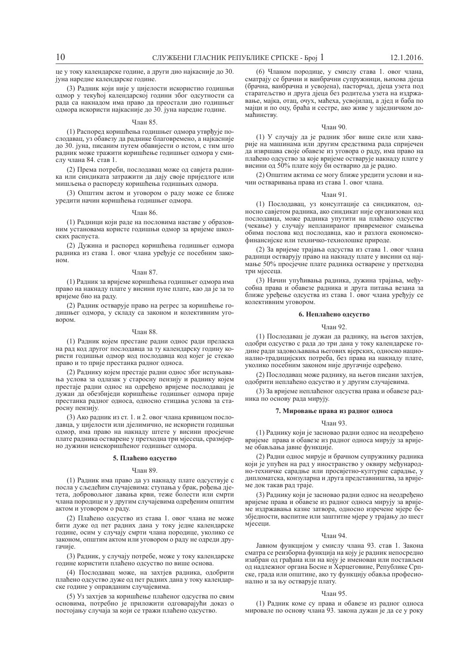це у току календарске године, а други дио најкасније до 30. јуна наредне календарске године.

(3) Радник који није у цијелости искористио годишњи одмор у текућој календарској години због одсутности са рада са накнадом има право да преостали дио годишњег одмора искористи најкасније до 30. јуна наредне године.

## Члан 85.

(1) Распоред коришћења годишњег одмора утврђује послодавац, уз обавезу да раднике благовремено, а најкасније до 30. iуна, писаним путем обавијести о истом, с тим што радник може тражити коришћење годишњег одмора у смислу члана 84. став 1.

(2) Према потреби, послодавац може од савјета радника или синдиката затражити да дају своје приједлоге или мишљења о распореду коришћења годишњих одмора.

(3) Општим актом и уговором о раду може се ближе уредити начин коришћења годишњег одмора.

#### Члан 86.

(1) Радници који раде на пословима наставе у образовним установама користе годишњи одмор за вријеме школских распуста.

(2) Дужина и распоред коришћења годишњег одмора радника из става 1. овог члана уређује се посебним зако-HOM.

## Члан 87.

(1) Радник за вријеме коришћења годишњег одмора има право на накнаду плате у висини пуне плате, као да је за то вријеме био на раду.

(2) Радник остварује право на регрес за коришћење годишњег одмора, у складу са законом и колективним уго-**BODOM.** 

## $q_{\text{пан}}$  88

(1) Радник којем престане радни однос ради преласка на рад код другог послодавца за ту календарску годину користи годишњи одмор код послодавца код којег је стекао право и то прије престанка радног односа.

(2) Раднику којем престаје радни однос због испуњавања услова за одлазак у старосну пензију и раднику којем престаје радни однос на одређено вријеме послодавац је дужан да обезбиједи коришћење годишњег одмора прије престанка радног односа, односно стицања услова за старосну пензију.

(3) Ако радник из ст. 1. и 2. овог члана кривицом послодавца, у цијелости или дјелимично, не искористи годишњи одмор, има право на накнаду штете у висини просјечне плате радника остварене у претходна три мјесеца, сразмјерно дужини неискоришћеног годишњег одмора.

## 5. Плаћено одсуство

## ɑɥɚɧ 89.

(1) Радник има право да уз накнаду плате одсуствује с посла у сљедећим случајевима: ступања у брак, рођења дјетета, добровољног давања крви, теже болести или смрти члана породице и у другим случајевима одређеним општим актом и уговором о раду.

(2) Плаћено одсуство из става 1. овог члана не може бити дуже од пет радних дана у току једне календарске године, осим у случају смрти члана породице, уколико се законом, општим актом или уговором о раду не одреди другачије.

(3) Радник, у случају потребе, може у току календарске године користити плаћено одсуство по више основа.

(4) Послодавац може, на захтјев радника, одобрити плаћено одсуство дуже од пет радних дана у току календарске године у оправданим случајевима.

(5) Уз захтіев за коришћење плаћеног одсуства по свим основима, потребно је приложити одговарајући доказ о постојању случаја за који се тражи плаћено одсуство.

(6) Чланом породице, у смислу става 1. овог члана, сматрају се брачни и ванбрачни супружници, њихова дјеца (брачна, ванбрачна и усвојена), пасторчад, дјеца узета под старатељство и друга дјеца без родитеља узета на издржавање, мајка, отац, очух, маћеха, усвојилац, а дјед и баба по мајци и по оцу, браћа и сестре, ако живе у заједничком домаћинству.

### Члан 90.

(1) У случају да је радник због више силе или хаварије на машинама или другим средствима рада спријечен да извршава своје обавезе из уговора о раду, има право на плаћено одсуство за које вријеме остварује накнаду плате у висини од 50% плате коју би остварио да је радио.

(2) Општим актима се могу ближе уредити услови и начин остваривања права из става 1. овог члана.

## Члан 91.

(1) Послодавац, уз консултације са синдикатом, односно савјетом радника, ако синдикат није организован код послодавца, може радника упутити на плаћено одсуство (чекање) у случају непланираног привременог смањења обима послова код послодавца, као и разлога економскофинансијске или техничко-технолошке природе.

(2) За вријеме трајања одсуства из става 1. овог члана радници остварују право на накнаду плате у висини од најмање 50% просјечне плате радника остварене у претходна три мјесеца.

(3) Начин упућивања радника, дужина трајања, међусобна права и обавезе радника и друга питања везана за ближе уређење одсуства из става 1. овог члана уређују се колективним уговором.

## $6.$  Неплаћено одсуство

## $q_{\text{пан}}$  92.

(1) Послодавац је дужан да раднику, на његов захтјев, одобри одсуство с рада до три дана у току календарске године ради задовољавања његових вјерских, односно национално-традицијских потреба, без права на накнаду плате, уколико посебним законом није другачије одређено.

(2) Послодавац може раднику, на његов писани захтјев, одобрити неплаћено одсуство и у другим случајевима.

(3) За вријеме неплаћеног одсуства права и обавезе радника по основу рада мирују.

## 7. Мировање права из радног односа

#### Члан 93.

(1) Раднику који је засновао радни однос на неодређено вријеме права и обавезе из радног односа мирују за вријеме обављања јавне функције.

(2) Радни однос мирује и брачном супружнику радника који је упућен на рад у иностранство у оквиру међународно-техничке сарадње или просвјетно-културне сарадње, у дипломатска, конзуларна и друга представништва, за вријеме док такав рад траје.

(3) Раднику који је засновао радни однос на неодређено вријеме права и обавезе из радног односа мирују за вријеме издржавања казне затвора, односно изречене мјере безбједности, васпитне или заштитне мјере у трајању до шест міесени.

### Члан 94.

Јавном функцијом у смислу члана 93. став 1. Закона сматра се реизборна функција на коју је радник непосредно изабран од грађана или на коју је именован или постављен од надлежног органа Босне и Херцеговине, Републике Српске, града или општине, ако ту функцију обавља професионално и за њу остварује плату.

### Члан 95.

(1) Радник коме су права и обавезе из радног односа мировале по основу члана 93. закона дужан је да се у року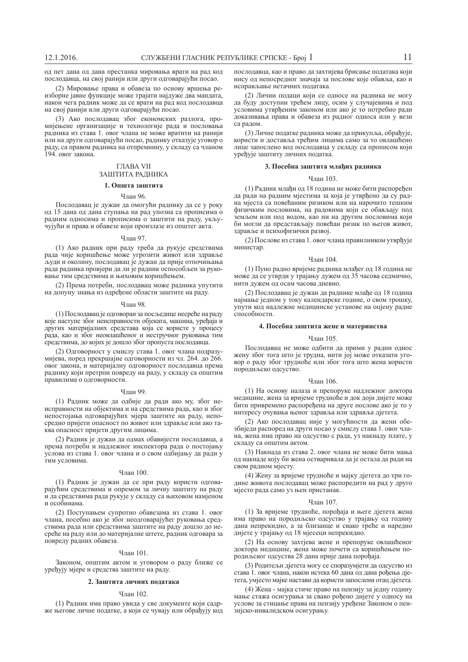од пет дана од дана престанка мировања врати на рад код послодавца, на свој ранији или други одговарајући посао.

(2) Мировање права и обавеза по основу вршења реизборне јавне функције може трајати најдуже два мандата, након чега радник може да се врати на рад код послодавца на свој ранији или други одговарајући посао.

(3) Ако послодавац због економских разлога, промијењене организације и технологије рада и пословања радника из става 1. овог члана не може вратити на ранији или на други одговарајући посао, раднику отказује уговор о раду, са правом радника на отпремнину, у складу са чланом 194. овог закона.

## **ГЛАВА VII** ЗАШТИТА РАДНИКА

## 1. Општа заштита

## Члан 96.

Послодавац је дужан да омогући раднику да се у року ол 15 лана ол лана ступања на рад упозна са прописима о радним односима и прописима о заштити на раду, укључујући и права и обавезе који произлазе из општег акта.

### Члан 97.

(1) Ако радник при раду треба да рукује средствима рада чије коришћење може угрозити живот или здравље људи и околину, послодавац је дужан да прије отпочињања рада радника провјери да ли је радник оспособљен за руковање тим средствима и њиховим коришћењем.

(2) Према потреби, послодавац може радника упутити на допуну знања из одређене области заштите на раду.

## **Члан 98.**

(1) Послодавац је одговоран за посљедице несреће на раду које наступе због неисправности објеката, машина, уређаја и других материјалних средстава која се користе у процесу рада, као и због неовлашћеног и нестручног руковања тим средствима, до којих је дошло због пропуста послодавца.

(2) Одговорност у смислу става 1. овог члана подразумијева, поред прекршајне одговорности из чл. 264. до 266. овог закона, и материјалну одговорност послодавца према раднику који претрпи повреду на раду, у складу са општим правилима о одговорности.

#### **Члан 99**

(1) Радник може да одбије да ради ако му, због неисправности на објектима и на средствима рада, као и због непостојања одговарајућих мјера заштите на раду, непосредно пријети опасност по живот или здравље или ако таква опасност пријети другим лицима.

(2) Радник је дужан да одмах обавијести послодавца, а према потреби и надлежног инспектора рада о постојању услова из става 1. овог члана и о свом одбијању да ради у тим условима.

#### Члан 100.

(1) Радник је дужан да се при раду користи одговарајућим средствима и опремом за личну заштиту на раду и да средствима рада рукује у складу са њиховом намјеном и особинама

(2) Поступањем супротно обавезама из става 1. овог члана, посебно ако је због неодговарајућег руковања средствима рада или средствима заштите на раду дошло до несреће на раду или до материјалне штете, радник одговара за повреду радних обавеза.

## ɑɥɚɧ 101.

Законом, општим актом и уговором о раду ближе се уређују мјере и средства заштите на раду.

## $2. 3$ аштита личних података

## Члан 102.

(1) Радник има право увида у све документе који садрже његове личне податке, а који се чувају или обрађују код послодавца, као и право да захтијева брисање података који нису од непосредног значаја за послове које обавља, као и исправљање нетачних података.

(2) Лични подаци који се односе на радника не могу да буду доступни трећем лицу, осим у случајевима и под условима утврђеним законом или ако је то потребно ради доказивања права и обавеза из радног односа или у вези са ралом.

(3) Личне податке радника може да прикупља, обрађује, користи и доставља трећим лицима само за то овлашћено лице запослено код послодавца у складу са прописом који уређује заштиту личних податка.

## 3. Посебна заштита млађих радника

## ɑɥɚɧ 103.

(1) Ралник млаћи од 18 година не може бити распорећен да ради на радним мјестима за која је утврђено да су радна мјеста са повећаним ризиком или на нарочито тешким физичким пословима, на радовима који се обављају под земљом или под водом, као ни на другим пословима који би могли да представљају повећан ризик по његов живот, здравље и психофизички развој.

(2) Послове из става 1. овог члана правилником утврђује министар.

## ɑɥɚɧ 104.

(1) Пуно радно вријеме радника млађег од 18 година не може да се утврди у трајању дужем од 35 часова седмично. нити дужем од осам часова дневно.

(2) Послодавац је дужан да раднике млађе од 18 година најмање једном у току календарске године, о свом трошку, vпути кол наллежне мелицинске установе на оцієну ралне  $\epsilon$ пособности

## 4. Посебна заштита жене и материнства

#### $q_{\text{пан}}$  105

Послодавац не може одбити да прими у радни однос жену због тога што је трудна, нити јој може отказати уговор о раду због трудноће или због тога што жена користи породиљско одсуство.

#### Члан 106.

(1) На основу налаза и препоруке надлежног доктора медицине, жена за вријеме трудноће и док доји дијете може бити привремено распоређена на друге послове ако је то у интересу очувања њеног здравља или здравља дјетета.

(2) Ако послодавац није у могућности да жени обезбиједи распоред на други посао у смислу става 1. овог члана, жена има право на одсуство с рада, уз накнаду плате, у складу са општим актом.

(3) Накнада из става 2. овог члана не може бити мања од накнаде коју би жена остваривала да је остала да ради на свом радном мјесту.

(4) Жену за вријеме трудноће и мајку дјетета до три године живота послодавац може распоредити на рад у друго мјесто рада само уз њен пристанак.

## Члан 107.

(1) За вријеме трудноће, порођаја и његе дјетета жена има право на породиљско одсуство у трајању од годину дана непрекидно, а за близанце и свако треће и наредно дијете у трајању од 18 мјесеци непрекидно.

(2) На основу захтјева жене и препоруке овлашћеног доктора медицине, жена може почети са коришћењем породиљског одсуства 28 дана прије дана порођаја.

(3) Родитељи діетета могу се споразуміети да одсуство из става 1. овог члана, након истека 60 дана од дана рођења дјетета, умјесто мајке настави да користи запослени отац дјетета.

(4) Жена - мајка стиче право на пензију за једну годину мање стажа осигурања за свако рођено дијете у односу на услове за стицање права на пензију уређене Законом о пензијско-инвалидском осигурању.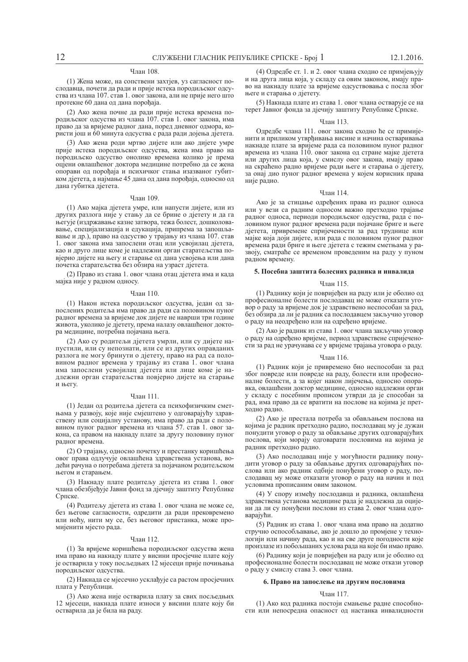## Члан 108.

(1) Жена може, на сопствени захтјев, уз сагласност послодавца, почети да ради и прије истека породиљског одсуства из члана 107. став 1. овог закона, али не прије него што протекне 60 дана од дана порођаја.

(2) Ако жена почне да ради прије истека времена породиљског одсуства из члана 107. став 1. овог закона, има право да за вријеме радног дана, поред дневног одмора, користи још и 60 минута одсуства с рада ради дојења дјетета.

(3) Ако жена роди мртво дијете или ако дијете умре прије истека породиљског одсуства, жена има право на породиљско одсуство онолико времена колико је према оцјени овлашћеног доктора медицине потребно да се жена опорави од порођаја и психичког стања изазваног губитком діетета, а најмање 45 дана од дана порођаја, односно од дана губитка дјетета.

## Члан 109.

(1) Ако мајка дјетета умре, или напусти дијете, или из других разлога није у стању да се брине о дјетету и да га његује (издржавање казне затвора, тежа болест, дошколовавање, специјализација и едукација, припрема за запошљавање и др.), право на одсуство у трајању из члана 107. став 1. овог закона има запослени отац или усвојилац дјетета, као и друго лице коме је надлежни орган старатељства повјерио дијете на његу и старање од дана усвојења или дана почетка старатељства без обзира на узраст дјетета.

(2) Право из става 1. овог члана отац діетета има и када мајка није у радном односу.

### Члан 110.

(1) Након истека породиљског одсуства, један од запослених родитеља има право да ради са половином пуног радног времена за вријеме док дијете не наврши три године живота, уколико је дјетету, према налазу овлашћеног доктора медицине, потребна појачана њега.

(2) Ако су родитељи дјетета умрли, или су дијете напустили, или су непознати, или се из других оправданих разлога не могу бринути о дјетету, право на рад са половином радног времена у трајању из става 1. овог члана има запослени усвојилац дјетета или лице коме је надлежни орган старатељства повјерио дијете на старање и његу.

### Члан 111.

(1) Један од родитеља дјетета са психофизичким сметњама у развоју, које није смјештено у одговарајућу здравствену или социјалну установу, има право да ради с половином пуног радног времена из члана 57. став 1. овог закона, са правом на накнаду плате за другу половину пуног радног времена.

(2) О трајању, односно почетку и престанку коришћења овог права одлучује овлашћена здравствена установа, водећи рачуна о потребама дјетета за појачаном родитељском његом и старањем.

(3) Накнаду плате родитељу дјетета из става 1. овог члана обезбјеђује Јавни фонд за дјечију заштиту Републике Српске.

(4) Родитељу діетета из става 1. овог члана не може се. без његове сагласности, одредити да ради прековремено или ноћу, нити му се, без његовог пристанка, може промијенити мјесто рада.

## Члан 112.

(1) За вријеме коришћења породиљског одсуства жена има право на накнаду плате у висини просјечне плате коју је остварила у току посљедњих 12 мјесеци прије почињања породиљског одсуства.

(2) Накнада се мјесечно усклађује са растом просјечних плата у Републици.

(3) Ако жена није остварила плату за свих посљедњих 12 мјесеци, накнада плате износи у висини плате коју би остварила да је била на раду.

(4) Одредбе ст. 1. и 2. овог члана сходно се примјењују и на друга лица која, у складу са овим законом, имају право на накнаду плате за вријеме одсуствовања с посла због његе и старања о дјетету.

(5) Накнада плате из става 1. овог члана остварује се на терет Јавног фонда за дјечију заштиту Републике Српске.

#### ɑɥɚɧ 113.

Олрелбе члана 111. овог закона схолно ће се примијенити и приликом утврђивања висине и начина остваривања накнаде плате за вријеме рада са половином пуног радног времена из члана 110. овог закона од стране мајке дјетета или других лица која, у смислу овог закона, имају право на скраћено радно вријеме ради његе и старања о дјетету, за онај дио пуног радног времена у којем корисник права није радио.

## Члан 114.

Ако је за стицање одређених права из радног односа или у вези са радним односом важно претходно трајање радног односа, периоди породиљског одсуства, рада с половином пуног радног времена ради појачане бриге и његе дјетета, привремене спријечености за рад труднице или мајке која доји дијете, или рада с половином пуног радног времена ради бриге и његе дјетета с тежим сметњама у развоју, сматраће се временом проведеним на раду у пуном радном времену.

## 5. Посебна заштита болесних радника и инвалида

#### $q_{\text{пан}}$  115

(1) Раднику који је повријеђен на раду или је оболио од професионалне болести послодавац не може отказати уговор о раду за вријеме док је здравствено неспособан за рад, без обзира да ли је радник са послодавцем закључио уговор о раду на неодређено или на одређено вријеме.

(2) Ако је радник из става 1. овог члана закључио уговор о раду на одређено вријеме, период здравствене спријечености за рад не урачунава се у вријеме трајања уговора о раду.

## Члан 116.

(1) Радник који је привремено био неспособан за рад због повреде или повреде на раду, болести или професионалне болести, а за којег након лијечења, односно опоравка, овлашћени доктор медицине, односно надлежни орган у складу с посебним прописом утврди да је способан за рад, има право да се вратити на послове на којима је претходно радио.

(2) Ако је престала потреба за обављањем послова на којима је радник претходно радио, послодавац му је дужан понудити уговор о раду за обављање других одговарајућих послова, који морају одговарати пословима на којима је радник претходно радио.

(3) Ако послодавац није у могућности раднику понудити уговор о раду за обављање других одговарајућих послова или ако радник одбије понуђени уговор о раду, послодавац му може отказати уговор о раду на начин и под условима прописаним овим законом.

(4) У спору између послодавца и радника, овлашћена здравствена установа медицине рада је надлежна да оцијени да ли су понуђени послови из става 2. овог члана одговарајући.

(5) Радник из става 1. овог члана има право на додатно стручно оспособљавање, ако је дошло до промјене у технологији или начину рада, као и на све друге погодности које произлазе из побољшаних услова рада на које би имао право.

(6) Раднику који је повријеђен на раду или је оболио од професионалне болести послодавац не може откази уговор о раду у смислу става 3. овог члана.

## $6.$  Право на запослење на другим пословима

#### ɑɥɚɧ 117.

(1) Ако код радника постоји смањење радне способности или непосредна опасност од настанка инвалидности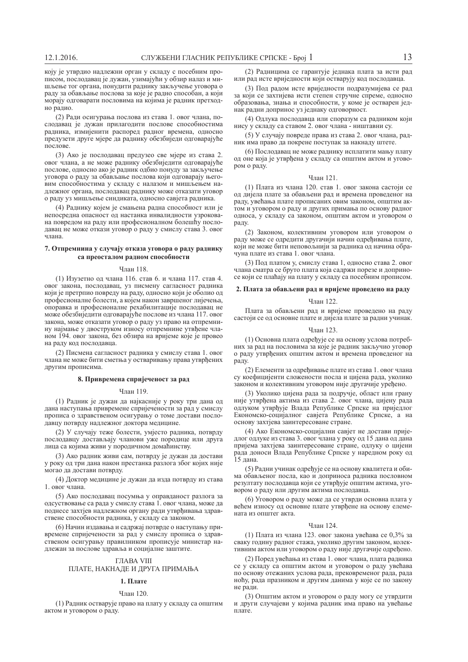коју је утврдио надлежни орган у складу с посебним прописом, послодавац је дужан, узимајући у обзир налаз и мишљење тог органа, понудити раднику закључење уговора о раду за обављање послова за које је радно способан, а који морају одговарати пословима на којима је радник претходно радио.

(2) Ради осигурања послова из става 1. овог члана, послодавац је дужан прилагодити послове способностима радника, измијенити распоред радног времена, односно предузети друге мјере да раднику обезбиједи одговарајуће  $\overline{h}$   $\overline{h}$ 

(3) Ако је послодавац предузео све мјере из става 2. овог члана, а не може раднику обезбиједити одговарајуће послове, односно ако је радник одбио понуду за закључење уговора о раду за обављање послова који одговарају његовим способностима у складу с налазом и мишљењем надлежног органа, послодавац раднику може отказати уговор о раду уз мишљење синдиката, односно савјета радника.

(4) Раднику којем је смањена радна способност или је непосредна опасност од настанка инвалидности узрокована повредом на раду или професионалном болешћу послодавац не може откази уговор о раду у смислу става 3. овог члана.

## 7. Отпремнина у случају отказа уговора о раду раднику са преосталом радном способности

#### Члан 118.

(1) Изузетно од члана 116. став 6. и члана 117. став 4. овог закона, послодавац, уз писмену сагласност радника који је претрпио повреду на раду, односно који је оболио од професионалне болести, а којем након завршеног лијечења, опоравка и професионалне рехабилитације послодавац не може обезбиједити одговарајуће послове из члана 117. овог закона, може отказати уговор о раду уз право на отпремнину најмање у двоструком износу отпремнине утвђене чланом 194. овог закона, без обзира на вријеме које је провео на раду код послодавца.

(2) Писмена сагласност радника у смислу става 1. овог члана не може бити сметња у остваривању права утврђених другим прописима.

## $8.$  Привремена спријеченост за рад

### Члан 119.

(1) Радник је дужан да најкасније у року три дана од дана наступања привремене спријечености за рад у смислу прописа о здравственом осигурању о томе достави послодавцу потврду надлежног доктора медицине.

(2) У случају теже болести, умјесто радника, потврду послодавцу достављају чланови уже породице или друга лица са којима живи у породичном домаћинству.

(3) Ако радник живи сам, потврду је дужан да достави у року од три дана након престанка разлога због којих није могао да достави потврду.

(4) Доктор медицине је дужан да изда потврду из става 1. овог члана.

(5) Ако послодавац посумња у оправданост разлога за одсуствовање са рада у смислу става 1. овог члана, може да поднесе захтјев надлежном органу ради утврђивања здравствене способности радника, у складу са законом.

(6) Начин издавања и садржај потврде о наступању привремене спријечености за рад у смислу прописа о здравственом осигурању правилником прописује министар надлежан за послове здравља и социјалне заштите.

## **ГЛАВА VIII**

## ПЛАТЕ, НАКНАДЕ И ДРУГА ПРИМАЊА

## 1. **Плате**

### $q_{\text{tash}}$  120

(1) Радник остварује право на плату у складу са општим актом и уговором о раду.

(2) Радницима се гарантује једнака плата за исти рад или рад исте вриједности који остварују код послодавца.

(3) Под радом исте вриједности подразумијева се рад за који се захтијева исти степен стручне спреме, односно образовања, знања и способности, у коме је остварен једнак радни допринос уз једнаку одговорност

(4) Одлука послодавца или споразум са радником који нису у складу са ставом 2. овог члана - ништавни су.

(5) У случају повреде права из става 2. овог члана, радник има право да покрене поступак за накнаду штете.

(6) Послодавац не може раднику исплатити мању плату од оне која је утврђена у складу са општим актом и уговором о раду.

## Члан 121.

(1) Плата из члана 120. став 1. овог закона састоји се од дијела плате за обављени рад и времена проведеног на раду, увећања плате прописаних овим законом, општим актом и уговором о раду и других примања по основу радног односа, у складу са законом, општим актом и уговором о naлy

(2) Законом, колективним уговором или уговором о раду може се одредити другачији начин одређивања плате, који не може бити неповољнији за радника од начина обрачуна плате из става 1. овог члана.

(3) Под платом у, смислу става 1, односно става 2. овог члана сматра се бруто плата која садржи порезе и доприносе који се плаћају на плату у складу са посебним прописом.

## $2. \Pi$ лата за обављени рад и вријеме проведено на раду

#### ɑɥɚɧ 122.

Плата за обављени рад и вријеме проведено на раду састоји се од основне плате и дијела плате за радни учинак.

## Члан 123.

(1) Основна плата одређује се на основу услова потребних за рад на пословима за које је радник закључио уговор о раду утврђених општим актом и времена проведеног на раду.

(2) Елементи за одређивање плате из става 1. овог члана су коефицијенти сложености посла и цијена рада, уколико законом и колективним уговором није другачије уређено.

(3) Уколико цијена рада за подручје, област или грану није утврђена актима из става 2. овог члана, цијену рада одлуком утврђује Влада Републике Српске на приједлог Економско-социјалног савјета Републике Српске, а на основу захтјева заинтересоване стране.

(4) Ако Економско-социјални савјет не достави приједлог одлуке из става 3. овог члана у року од 15 дана од дана пријема захтјева заинтересоване стране, одлуку о цијени рада доноси Влада Републике Српске у наредном року од  $15 \text{ пана}$ 

(5) Радни учинак одређује се на основу квалитета и обима обављеног посла, као и доприноса радника пословном резултату послодавца који се утврђује општим актима, уговором о раду или другим актима послодавца.

(6) Уговором о раду може да се утврди основна плата у већем износу од основне плате утврђене на основу елемената из општег акта.

#### $q_{\text{пан}}$  124

(1) Плата из члана 123. овог закона увећава се 0,3% за сваку годину радног стажа, уколико другим законом, колективним актом или уговором о раду није другачије одређено.

(2) Поред увећања из става 1. овог члана, плата радника се у складу са општим актом и уговором о раду увећава по основу отежаних услова рада, прековременог рада, рада ноћу, рада празником и другим данима у које се по закону не ради.

 $(3)$   $\Omega$ <sub>niii</sub><sub>t</sub> aktom *u* vrobonom o nativ mory ce vrbnutu и други случајеви у којима радник има право на увећање плате.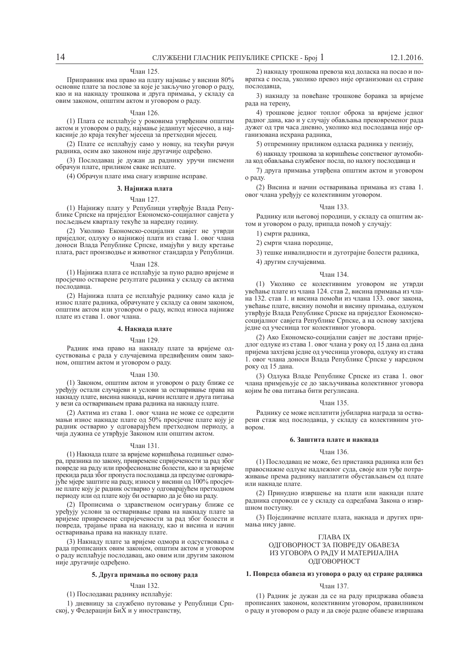## Члан 125.

Приправник има право на плату најмање у висини 80% основне плате за послове за које је закључио уговор о раду, као и на накнаду трошкова и друга примања, у складу са овим законом, општим актом и уговором о раду.

#### ɑɥɚɧ 126.

(1) Плата се исплаћује у роковима утврђеним општим актом и уговором о раду, најмање једанпут мјесечно, а најкасније до краја текућег мјесеца за претходни мјесец.

(2) Плате се исплаћују само у новцу, на текући рачун радника, осим ако законом није другачије одређено.

(3) Послодавац је дужан да раднику уручи писмени обрачун плате, приликом сваке исплате.

(4) Обрачун плате има снагу извршне исправе.

## 3. Најнижа плата

## ɑɥɚɧ 127.

(1) Најнижу плату у Републици утврђује Влада Републике Српске на приједлог Економско-социјалног савјета у посљедњем кварталу текуће за наредну годину.

(2) Уколико Економско-социјални савјет не утврди приједлог, одлуку о најнижој плати из става 1. овог члана доноси Влада Републике Српске, имајући у виду кретање плата, раст производње и животног стандарда у Републици.

### Члан 128.

(1) Најнижа плата се исплаћује за пуно радно вријеме и просјечно остварене резултате радника у складу са актима послолавна.

(2) Најнижа плата се исплаћује раднику само када је износ плате радника, обрачунате у складу са овим законом, општим актом или уговором о раду, испод износа најниже плате из става 1. овог члана.

## $4.$  **Накнада** плате

## Члан 129.

Радник има право на накнаду плате за вријеме одсуствовања с рада у случајевима предвиђеним овим законом, општим актом и уговором о раду.

### Члан 130.

(1) Законом, општим актом и уговором о раду ближе се уређују остали случајеви и услови за остваривање права на накнаду плате, висина накнада, начин исплате и друга питања у вези са остваривањем права радника на накнаду плате.

(2) Актима из става 1. овог члана не може се одредити MАЊИ ИЗНОС НАКНАДЕ ПЛАТЕ ОД 50% ПРОСЈЕЧНЕ ПЛАТЕ КОЈУ је радник остварио у одговарајућем претходном периоду, а чија дужина се утврђује Законом или општим актом.

### Члан 131.

(1) Накнада плате за вријеме коришћења годишњег одмора, празника по закону, привремене спријечености за рад због повреде на раду или професионалне болести, као и за вријеме поекида рада због пропуста послодавца да предузме одговарајуће мјере заштите на раду, износи у висини од 100% просјечне плате коју је радник остварио у одговарајућем претходном периоду или од плате коју би остварио да је био на раду.

(2) Прописима о здравственом осигурању ближе се уређују услови за остваривање права на накнаду плате за вријеме привремене спријечености за рад због болести и повреда, трајање права на накнаду, као и висина и начин остваривања права на накнаду плате.

(3) Накнаду плате за вријеме одмора и одсуствовања с рада прописаних овим законом, општим актом и уговором  $\alpha$  раду исплаћује послодавац, ако овим или другим законом није другачије одређено.

### 5. Друга примања по основу рада

#### ɑɥɚɧ 132.

(1) Послодавац раднику исплаћује:

1) дневницу за службено путовање у Републици Српској, у Федерацији БиХ и у иностранству,

2) накнаду трошкова превоза код доласка на посао и повратка с посла, уколико превоз није организован од стране  $\overline{h}$   $\overline{h}$   $\overline{h}$   $\overline{h}$   $\overline{h}$   $\overline{h}$   $\overline{h}$   $\overline{h}$   $\overline{h}$   $\overline{h}$   $\overline{h}$   $\overline{h}$ 

3) накнаду за повећане трошкове боравка за вријеме рада на терену,

4) трошкове једног топлог оброка за вријеме једног радног дана, као и у случају обављања прековременог рада дужег од три часа дневно, уколико код послодавца није организована исхрана радника,

5) отпремнину приликом одласка радника у пензију,

6) накнаду трошкова за коришћење сопственог аутомобила код обављања службеног посла, по налогу послодавца и

7) друга примања утврђена општим актом и уговором о раду.

(2) Висина и начин остваривања примања из става 1. овог члана уређују се колективним уговором.

#### ɑɥɚɧ 133.

Раднику или његовој породици, у складу са општим актом и уговором о раду, припада помоћ у случају:

## 1) смрти радника,

2) смрти члана породице,

3) тешке инвалидности и дуготрајне болести радника,

4) другим случајевима.

### ɑɥɚɧ 134.

(1) Уколико се колективним уговором не утврди увећање плате из члана 124. став 2, висина примања из члана 132. став 1, и висина помоћи из члана 133. овог закона увећање плате, висину помоћи и висину примања, одлуком утврђује Влада Републике Српске на приједлог Економскосоцијалног савјета Републике Српске, а на основу захтјева іедне од учесница тог колективног уговора.

(2) Ако Економско-социјални савјет не достави приједлог одлуке из става 1. овог члана у року од 15 дана од дана пријема захтјева једне од учесница уговора, одлуку из става 1. овог члана доноси Влада Републике Српске у наредном року од 15 дана.

(3) Одлука Владе Републике Српске из става 1. овог члана примјењује се до закључивања колективног уговора којим ће ова питања бити регулисана.

## Члан 135.

Раднику се може исплатити јубиларна награда за остварени стаж код послодавца, у складу са колективним уго-BODOM.

## $6. 3$ аштита плате и накнала

### ɑɥɚɧ 136.

(1) Послодавац не може, без пристанка радника или без правоснажне одлуке надлежног суда, своје или туђе потраживање према раднику наплатити обустављањем од плате или накнале плате

(2) Принудно извршење на плати или накнади плате радника спроводи се у складу са одредбама Закона о извршном поступку.

(3) Појединачне исплате плата, накнада и других примања нису јавне.

#### ȽɅȺȼȺ IX

## ОДГОВОРНОСТ ЗА ПОВРЕДУ ОБАВЕЗА ИЗ УГОВОРА О РАДУ И МАТЕРИЈАЛНА ОДГОВОРНОСТ

## 1. Повреда обавеза из уговора о раду од стране радника

#### ɑɥɚɧ 137.

(1) Радник је дужан да се на раду придржава обавеза прописаних законом, колективним уговором, правилником о раду и уговором о раду и да своје радне обавезе извршава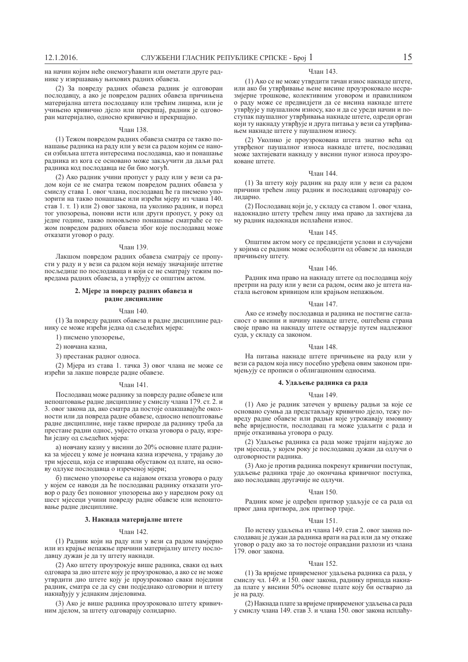на начин којим неће онемогућавати или ометати друге раднике у извршавању њихових радних обавеза.

(2) За повреду радних обавеза радник је одговоран послодавцу, а ако је повредом радних обавеза причињена материјална штета послодавцу или трећим лицима, или је учињено кривично дјело или прекршај, радник је одговоран материјално, односно кривично и прекршајно.

#### ɑɥɚɧ 138.

(1) Тежом повредом радних обавеза сматра се такво понашање радника на раду или у вези са радом којим се наноси озбиљна штета интересима послодавца, као и понашање радника из кога се основано може закључити да даљи рад радника код послодавца не би био могућ.

(2) Ако радник учини пропуст у раду или у вези са радом који се не сматра тежом повредом радних обавеза у смислу става 1. овог члана, послодавац ће га писмено упозорити на такво понашање или изрећи мјеру из члана 140. став 1. т. 1) или 2) овог закона, па уколико радник, и поред тог упозорења, понови исти или други пропуст, у року од іедне године, такво поновљено понашање сматраће се тежом повредом радних обавеза због које послодавац може отказати уговор о раду.

### Члан 139.

Лакшом повредом радних обавеза сматрају се пропусти у раду и у вези са радом који немају значајније штетне посљедице по послодаваца и који се не сматрају тежим повредама радних обавеза, а утврђују се општим актом.

## 2. Мјере за повреду радних обавеза и **радне дисциплине**

## Члан 140.

(1) За повреду радних обавеза и радне дисциплине раднику се може изрећи једна од сљедећих мјера:

1) писмено упозорење,

2) новчана казна.

3) престанак радног односа.

(2) Мјера из става 1. тачка 3) овог члана не може се изрећи за лакше повреде радне обавезе.

#### ɑɥɚɧ 141.

Послодавац може раднику за повреду радне обавезе или непоштовање радне лисциплине у смислу члана 179. ст. 2. и 3. овог закона да, ако сматра да постоје олакшавајуће околности или да повреда радне обавезе, односно непоштовање радне дисциплине, није такве природе да раднику треба да престане радни однос, умјесто отказа уговора о раду, изрећи једну од сљедећих мјера:

а) новчану казну у висини до 20% основне плате радника за мјесец у коме је новчана казна изречена, у трајању до три мјесеца, која се извршава обуставом од плате, на основу одлуке послодавца о изреченој мјери;

б) писмено упозорење са најавом отказа уговора о раду у којем се наводи да ће послодавац раднику отказати уговор о раду без поновног упозорења ако у наредном року од шест мјесеци учини повреду радне обавезе или непоштовање радне дисциплине.

## 3. Накнада материјалне штете

## Члан 142.

(1) Радник који на раду или у вези са радом намјерно или из крајње непажње причини материјалну штету послодавцу дужан је да ту штету накнади.

(2) Ако штету проузрокује више радника, сваки од њих одговара за дио штете коју је проузроковао, а ако се не може утврдити дио штете коју је проузроковао сваки поједини радник, сматра се да су сви подједнако одговорни и штету накнађују у једнаким дијеловима.

(3) Ако је више радника проузроковало штету кривичним дјелом, за штету одговарају солидарно.

## Члан 143.

(1) Ако се не може утврдити тачан износ накнаде штете, или ако би утврђивање њене висине проузроковало несразмјерне трошкове, колективним уговором и правилником о раду може се предвидјети да се висина накнаде штете утврђује у паушалном износу, као и да се уреди начин и поступак паушалног утврђивања накнаде штете, одреди орган који ту накнаду утврђује и друга питања у вези са утврђивањем накнаде штете у паушалном износу.

(2) Уколико је проузрокована штета знатно већа од утврђеног паушалног износа накнаде штете, послодавац иоже захтијевати накнаду у висини пуног износа проузроковане штете

### Члан 144.

(1) За штету коју радник на раду или у вези са радом причини трећем лицу радник и послодавац одговарају солиларно.

(2) Послодавац који је, у складу са ставом 1. овог члана, надокнадио штету трећем лицу има право да захтијева да му радник надокнади исплаћени износ.

### ɑɥɚɧ 145.

Општим актом могу се предвидјети услови и случајеви у којима се радник може ослободити од обавезе да накнади лричињену штету.

### Члан 146.

Радник има право на накнаду штете од послодавца коју претрпи на ралу или у вези са ралом, осим ако је штета настала његовом кривицом или крајњом непажњом.

### Члан 147.

Ако се између послодавца и радника не постигне сагласност о висини и начину накнаде штете, оштећена страна своје право на накнаду штете остварује путем надлежног суда, у складу са законом.

## Члан 148.

На питања накнаде штете причињене на раду или у вези са радом која нису посебно уређена овим законом примјењују се прописи о облигационим односима.

## $4.$  Удаљење радника са рада

### Члан 149.

(1) Ако је радник затечен у вршењу радњи за које се основано сумња да представљају кривично дјело, тежу повреду радне обавезе или радњи које угрожавају имовину веће вриједности, послодавац га може удаљити с рада и прије отказивања уговора о раду.

(2) Удаљење радника са рада може трајати најдуже до три мјесеца, у којем року је послодавац дужан да одлучи о одговорности радника.

(3) Ако је против радника покренут кривични поступак, удаљење радника траје до окончања кривичног поступка, ако послодавац другачије не одлучи.

#### Члан 150.

Радник коме је одређен притвор удаљује се са рада од првог дана притвора, док притвор траје.

## Члан 151.

По истеку удаљења из члана 149. став 2. овог закона послодавац је дужан да радника врати на рад или да му откаже уговор о раду ако за то постоје оправдани разлози из члана 179. овог закона.

#### ɑɥɚɧ 152.

(1) За вријеме привременог удаљења радника са рада, у смислу чл. 149. и 150. овог закона, раднику припада накнада плате у висини 50% основне плате коју би остварио да је на раду.

(2) Накнада плате за вријеме привременог удаљења са рада у смислу члана 149. став 3. и члана 150. овог закона исплаћу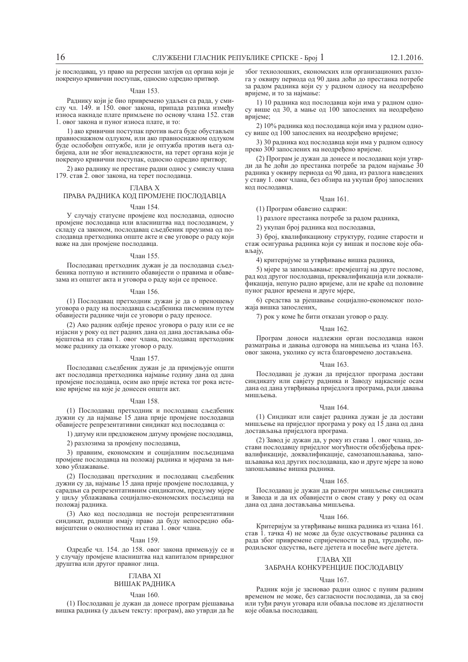је послодавац, уз право на регресни захтјев од органа који је покренуо кривични поступак, односно одредио притвор.

## Члан 153.

Раднику који је био привремено удаљен са рада, у смислу чл. 149. и 150. овог закона, припада разлика између износа накнаде плате примљене по основу члана 152. став 1. овог закона и пуног износа плате, и то:

1) ако кривични поступак против њега буде обустављен правноснажном одлуком, или ако правноснажном одлуком буде ослобођен оптужбе, или је оптужба против њега одбијена, али не због ненадлежности, на терет органа који је покренуо кривични поступак, односно одредио притвор;

2) ако раднику не престане радни однос у смислу члана 179. став 2. овог закона, на терет послодавца.

## THARA X

## ПРАВА РАДНИКА КОД ПРОМЈЕНЕ ПОСЛОДАВЦА

### Члан 154.

У случају статусне промјене код послодавца, односно промјене послодавца или власништва над послодавцем, у складу са законом, послодавац сљедбеник преузима од послодавца претходника опште акте и све уговоре о раду који важе на дан промјене послодавца.

## Члан 155.

Послодавац претходник дужан је да послодавца сљедбеника потпуно и истинито обавијести о правима и обавезама из општег акта и уговора о раду који се преносе.

## Члан 156.

(1) Послодавац претходник дужан је да о преношењу уговора о раду на послодавца сљедбеника писменим путем обавијести раднике чији се уговори о раду преносе.

(2) Ако радник одбије пренос уговора о раду или се не изјасни у року од пет радних дана од дана достављања обавјештења из става 1. овог члана, послодавац претходник може раднику да откаже уговор о раду.

#### ɑɥɚɧ 157.

Послодавац сљедбеник дужан је да примјењује општи акт послодавца претходника најмање годину дана од дана промјене послодавца, осим ако прије истека тог рока истекне вријеме на које је донесен општи акт.

## Члан 158.

(1) Послодавац претходник и послодавац сљедбеник дужни су да најмање 15 дана прије промјене послодавца обавијесте репрезентативни синдикат код послодавца о:

1) датуму или предложеном датуму промјене послодавца,

2) разлозима за промјену послодавца,

3) правним, економским и социјалним посљелицама промјене послодавца на положај радника и мјерама за њихово ублажавање

(2) Послодавац претходник и послодавац сљедбеник дужни су да, најмање 15 дана прије промјене послодавца, у сарадњи са репрезентативним синдикатом, предузму мјере у циљу ублажавања социјално-економских посљедица на положаі ралника.

(3) Ако код послодавца не постоји репрезентативни синдикат, радници имају право да буду непосредно обавијештени о околностима из става 1. овог члана.

## Члан 159.

Одредбе чл. 154. до 158. овог закона примењују се и у случају промјене власништва над капиталом привредног друштва или другог правног лица.

## ГЛАВА XI

## ВИШАК РАДНИКА

### Члан 160.

(1) Послодавац је дужан да донесе програм рјешавања вишка радника (у даљем тексту: програм), ако утврди да ће

због технолошких, економских или организационих разлога у оквиру периода од 90 дана доћи до престанка потребе за радом радника који су у радном односу на неодређено вријеме, и то за најмање:

1) 10 радника код послодавца који има у радном односу више од 30, а мање од 100 запослених на неодређено вријеме;

2) 10% радника код послодавца који има у радном односу више од 100 запослених на неодређено вријеме;

3) 30 радника код послодавца који има у радном односу преко 300 запослених на неодређено вријеме.

(2) Програм је дужан да донесе и послодавац који утврди да ће доћи до престанка потребе за радом најмање 30 радника у оквиру периода од 90 дана, из разлога наведених у ставу 1. овог члана, без обзира на укупан број запослених кол послолавна.

## Члан 161.

(1) Програм обавезно садржи:

1) разлоге престанка потребе за радом радника,

2) укупан број радника код послодавца,

3) број, квалификациону структуру, године старости и стаж осигурања радника који су вишак и послове које обављају,

4) критеријуме за утврђивање вишка радника,

5) міере за запошљавање: преміештаі на друге послове, рад код другог послодавца, преквалификација или доквалификација, непуно радно вријеме, али не краће од половине пуног радног времена и друге мјере,

6) средства за ріешавање социјално-економског положаја вишка запослених,

7) рок у коме ће бити отказан уговор о раду.

## Члан 162.

Програм доноси надлежни орган послодавца након разматрања и давања одговора на мишљења из члана 163. овог закона, уколико су иста благовремено достављена.

## Члан 163.

Послодавац је дужан да приједлог програма достави синдикату или савјету радника и Заводу најкасније осам дана од дана утврђивања приједлога програма, ради давања мишљења.

### Члан 164.

(1) Синдикат или савјет радника дужан је да достави мишљење на приједлог програма у року од 15 дана од дана достављања приједлога програма.

(2) Завод је дужан да, у року из става 1. овог члана, достави послодавцу приједлог могућности обезбјеђења преквалификације, доквалификације, самозапошљавања, запошљавања код других послодаваца, као и друге мјере за ново запошљавање вишка радника.

## Члан 165.

Послодавац је дужан да размотри мишљење синдиката и Завода и да их обавијести о свом ставу у року од осам дана од дана достављања мишљења.

#### Члан 166.

Критеријум за утврђивање вишка радника из члана 161. став 1. тачка 4) не може да буде одсуствовање радника са рада због привремене спријечености за рад, трудноће, по**родиљског одсуства, његе дјетета и посебне његе дјетета.** 

## ГЛАВА XII

## ЗАБРАНА КОНКУРЕНЦИЈЕ ПОСЛОДАВЦУ

#### Члан 167.

Радник који је засновао радни однос с пуним радним временом не може, без сагласности послодавца, да за свої или туђи рачун уговара или обавља послове из дјелатности које обавља послодавац.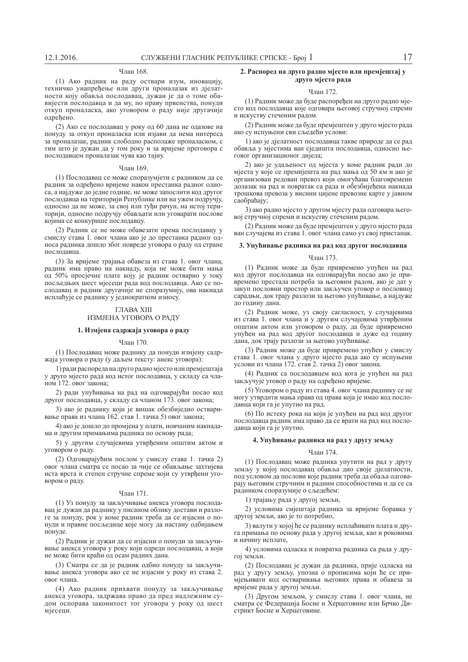## Члан 168.

(1) Ако радник на раду оствари изум, иновацију, техничко унапређење или други проналазак из дјелатности коју обавља послодавац, дужан је да о томе обавијести послодавца и да му, по праву првенства, понуди откуп проналаска, ако уговором о раду није другачије одређено.

(2) Ако се послодавац у року од 60 дана не одазове на понуду за откуп проналаска или изјави да нема интереса за проналазак, радник слободно располаже проналаском, с тим што је дужан да у том року и за вријеме преговора с послодавцем проналазак чува као тајну.

#### Члан 169.

(1) Послодавац се може споразумјети с радником да се радник за одређено вријеме након престанка радног односа, а најдуже до једне године, не може запослити код другог послодавца на територији Републике или на ужем подручју, односно да не може, за свој или туђи рачун, на истој територији, односно подручју обављати или уговарати послове којима се конкурише послодавцу.

(2) Радник се не може обавезати према послодавцу у смислу става 1. овог члана ако је до престанка радног односа радника дошло због повреде уговора о раду од стране послолавна.

(3) За вријеме трајања обавеза из става 1. овог члана, радник има право на накнаду, која не може бити мања од 50% просјечне плате коју је радник остварио у току посљедњих шест мјесеци рада код послодавца. Ако се послодавац и радник другачије не споразумију, ова накнада исплаћује се раднику у једнократном износу.

## ГЛАВА XIII ИЗМЈЕНА УГОВОРА О РАДУ

# 1. Измјена садржаја уговора о раду

## $q_{\text{HAH}}$  170

(1) Послодавац може раднику да понуди измјену садржаја уговора о раду (у даљем тексту: анекс уговора):

1) ради распореда на друго радно мјесто или премјештаја у друго мјесто рада код истог послодавца, у складу са чланом 172. овог закона;

2) ради упућивања на рад на одговарајући посао код другог послодавца, у складу са чланом 173. овог закона:

3) ако је раднику који је вишак обезбиједио остваривање права из члана 162. став 1. тачка 5) овог закона;

4) ако је дошло до промјена у плати, новчаним накнадама и другим примањима радника по основу рада;

5) у другим случајевима утврђеним општим актом и уговором о раду.

(2) Одговарајућим послом у смислу става 1. тачка 2) овог члана сматра се посао за чије се обављање захтијева иста врста и степен стручне спреме који су утврђени уговором о раду.

## Члан 171.

(1) Уз понуду за закључивање анекса уговора послодавац је дужан да раднику у писаном облику достави и разлоге за понуду, рок у коме радник треба да се изјасни о понуди и правне посљедице које могу да настану одбијањем понуде.

(2) Радник је дужан да се изјасни о понуди за закључивање анекса уговора у року који одреди послодавац, а који не може бити краћи од осам радних дана.

(3) Сматра се ла је ралник олбио понулу за закључивање анекса уговора ако се не изјасни у року из става 2. овог члана.

(4) Ако радник прихвати понуду за закључивање анекса уговора, задржава право да пред надлежним судом оспорава законитост тог уговора у року од шест мјесеци.

## 2. Распоред на друго радно мјесто или премјештај у друго мјесто рада

## Члан 172.

(1) Радник може да буде распоређен на друго радно мјесто код послодавца које одговара његовој стручној спреми и искуству стеченим радом.

(2) Радник може да буде премјештен у друго мјесто рада ако су испуњени сви сљедећи услови:

1) ако је дјелатност послодавца такве природе да се рад обавља у мјестима ван сједишта послодавца, односно његовог организационог дијела;

2) ако је удаљеност од мјеста у коме радник ради до мјеста у које се премијешта на рад мања од 50 км и ако је организован редован превоз који омогућава благовремени долазак на рад и повратак са рада и обезбијеђена накнада трошкова превоза у висини цијене превозне карте у јавном cao<sub>браћају</sub>;

3) ако радно мјесто у другом мјесту рада одговара његовој стручној спреми и искуству стеченим радом.

(2) Радник може да буде премјештен у друго мјесто рада ван случајева из става 1. овог члана само уз свој пристанак.

## 3. Упућивање радника на рад код другог послодавца

## Члан 173.

(1) Радник може да буде привремено упућен на рад код другог послодавца на одговарајући посао ако је привремено престала потреба за његовим радом, ако је дат у закуп пословни простор или закључен уговор о пословној сарадњи, док трају разлози за његово упућивање, а најдуже до годину дана.

(2) Радник може, уз своју сагласност, у случајевима из става 1. овог члана и у другим случајевима утврђеним општим актом или уговором о раду, да буде привремено упућен на рад код другог послодавца и дуже од годину дана, док трају разлози за његово упућивање.

(3) Радник може да буде привремено упућен у смислу става 1. овог члана у друго мјесто рада ако су испуњени услови из члана 172. став 2. тачка 2) овог закона.

(4) Радник са послодавцем код кога је упућен на рад закључује уговор о раду на одређено вријеме.

(5) Уговором о раду из става 4. овог члана раднику се не могу утврдити мања права од права која је имао код послодавца који га је упутио на рад.

(6) По истеку рока на који је упућен на рад код другог послодавца радник има право да се врати на рад код послодавца који га је упутио.

## **4. ɍɩɭʄɢɜɚʃɟ ɪɚɞɧɢɤɚ ɧɚ ɪɚɞ ɭ ɞɪɭɝɭ ɡɟɦʂɭ**

## Члан 174.

(1) Послодавац може радника упутити на рад у другу земљу у којој послодавац обавља дио своје дјелатности, под условом да послови које радник треба да обаља одговарају његовим стручним и радним способностима и да се са радником споразумије о сљедећем:

1) трајању рада у другој земљи,

2) условима смјештаја радника за вријеме боравка у другој земљи, ако је то потребно,

3) валути у којој ће се ралнику исплаћивати плата и друга примања по основу рада у другој земљи, као и роковима и начину исплате,

4) условима одласка и повратка радника са рада у другоі земљи.

(2) Послодаван је дужан да радника, прије одласка на рад у другу земљу, упозна о прописима који ће се примјењивати код остваривања његових права и обавеза за вријеме рада у другој земљи.

(3) Другом земљом, у смислу става 1. овог члана, не сматра се Федерација Босне и Херцеговине или Брчко Дистрикт Босне и Херцеговине.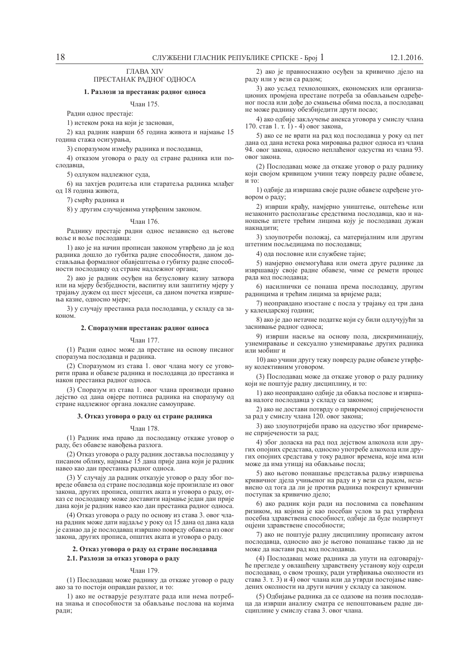## ȽɅȺȼȺ XIV ПРЕСТАНАК РАДНОГ ОДНОСА

## 1. Разлози за престанак радног односа

## ɑɥɚɧ 175.

Радни однос престаје:

1) истеком рока на који је заснован,

2) кад радник наврши 65 година живота и најмање 15 година стажа осигурања,

3) споразумом између радника и послодавца,

4) отказом уговора о раду од стране радника или послодавца,

5) оллуком наллежног сула.

6) на захтјев родитеља или старатеља радника млађег од 18 година живота,

7) смрћу радника и

8) у другим случајевима утврђеним законом.

#### ɑɥɚɧ 176.

Раднику престаје радни однос независно од његове воље и воље послодавца:

1) ако іе на начин прописан законом утврђено да је код радника дошло до губитка радне способности, даном достављања формалног обавјештења о губитку радне способности послодавцу од стране надлежног органа;

2) ако је радник осуђен на безусловну казну затвора или на мјеру безбједности, васпитну или заштитну мјеру у трајању дужем од шест мјесеци, са даном почетка извршења казне, односно мјере;

3) у случају престанка рада послодавца, у складу са законом

### 2. Споразумни престанак радног односа

#### ɑɥɚɧ 177.

(1) Радни однос може да престане на основу писаног споразума послодавца и радника.

(2) Споразумом из става 1. овог члана могу се уговорити права и обавезе радника и послодавца до престанка и након престанка радног односа.

(3) Споразум из става 1. овог члана производи правно дејство од дана овјере потписа радника на споразуму од стране надлежног органа локалне самоуправе.

## 3. Отказ уговора о раду од стране радника

## ɑɥɚɧ 178.

(1) Радник има право да послодавцу откаже уговор о раду, без обавезе навођења разлога.

(2) Отказ уговора о раду радник доставља послодавцу у писаном облику, најмање 15 лана прије лана који је ралник навео као дан престанка радног односа.

(3) У случају да радник отказује уговор о раду због повреде обавеза од стране послодавца које произилазе из овог закона, других прописа, општих аката и уговора о раду, отказ се послодавцу може доставити најмање један дан прије дана који је ралник навео као лан престанка ралног односа.

(4) Отказ уговора о раду по основу из става 3. овог члана радник може дати најдаље у року од 15 дана од дана када је сазнао да је послодавац извршио повреду обавеза из овог закона, других прописа, општих аката и уговора о раду.

## $2.$  Отказ уговора о раду од стране послодавца

## $2.1.$  Разлози за отказ уговора о раду

## ɑɥɚɧ 179.

(1) Послодавац може раднику да откаже уговор о раду ако за то постоји оправдан разлог, и то:

1) ако не остварује резултате рада или нема потребна знања и способности за обављање послова на којима ради;

2) ако је правноснажно осуђен за кривично дјело на раду или у вези са радом;

3) ако усљед технолошких, економских или организационих промјена престане потреба за обављањем одређеног посла или дође до смањења обима посла, а послодавац не може раднику обезбиједити други посао;

4) ако одбије закључење анекса уговора у смислу члана 170. став 1. т. 1) - 4) овог закона,

5) ако се не врати на рад код послодавца у року од пет дана од дана истека рока мировања радног односа из члана 94. овог закона, односно неплаћеног одсуства из члана 93. овог закона.

(2) Послодавац може да откаже уговор о раду раднику који својом кривицом учини тежу повреду радне обавезе,  $\overline{H}$  то:

1) одбије да извршава своје радне обавезе одређене уговором о раду;

2) изврши крађу, намјерно уништење, оштећење или незаконито располагање средствима послодавца, као и наношење штете трећим лицима коју је послодавац дужан накналити:

3) злоупотреби положај, са материјалним или другим штетним посљедицама по послодавца;

4) ода пословне или службене тајне;

5) намјерно онемогућава или омета друге раднике да извршавају своје радне обавезе, чиме се ремети процес рада кол послодавца:

6) насилнички се понаша према послодавцу, другим радницима и трећим лицима за вријеме рада;

7) неоправдано изостане с посла у трајању од три дана у календарској години;

8) ако је дао нетачне податке који су били одлучујући за заснивање радног односа;

9) изврши насиље на основу пола, дискриминацију, узнемиравање и сексуално узнемиравање других радника  $\overline{u}$ ипи мобинг и

10) ако учини другу тежу повреду радне обавезе утврђену колективним уговором.

(3) Послодавац може да откаже уговор о раду раднику који не поштује радну дисциплину, и то:

1) ако неоправлано олбије ла обавља послове и извршава налоге послодавца у складу са законом;

2) ако не достави потврду о привременој спријечености за рад у смислу члана 120. овог закона;

3) ако злоупотријеби право на одсуство због привремене спријечености за рад;

4) због доласка на рад под дејством алкохола или других опојних средстава, односно употребе алкохола или других опојних средстава у току радног времена, које има или може да има утицај на обављање посла;

5) ако његово понашање представља радњу извршења кривичног дјела учињеног на раду и у вези са радом, независно од тога да ли је против радника покренут кривични поступак за кривично дјело;

6) ако радник који ради на пословима са повећаним ризиком, на којима је као посебан услов за рад утврђена посебна здравствена способност, одбије да буде подвргнут оцјени здравствене способности;

7) ако не поштује радну дисциплину прописану актом послодавца, односно ако је његово понашање такво да не може да настави рад код послодавца.

(4) Послодавац може радника да упути на одговарајуће прегледе у овлашћену здравствену установу коју одреди послодавац, о свом трошку, ради утврђивања околности из става 3. т. 3) и 4) овог члана или да утврди постојање наведених околности на други начин у складу са законом.

(5) Одбијање радника да се одазове на позив послодавца да изврши анализу сматра се непоштовањем радне дисциплине у смислу става 3. овог члана.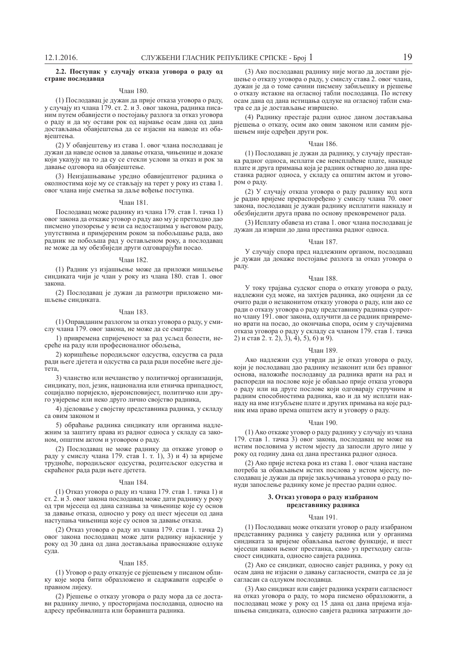## 2.2. Поступак у случају отказа уговора о раду од стране послодавца

### Члан 180.

(1) Послодавац је дужан да прије отказа уговора о раду, у случају из члана 179. ст. 2. и 3. овог закона, радника писаним путем обавијести о постојању разлога за отказ уговора о раду и да му остави рок од најмање осам дана од дана достављања обавјештења да се изјасни на наводе из обавіештења

(2) У обавјештењу из става 1. овог члана послодавац је дужан да наведе основ за давање отказа, чињенице и доказе који указују на то да су се стекли услови за отказ и рок за давање одговора на обавјештење.

(3) Неизјашњавање уредно обавијештеног радника о околностима које му се стављају на терет у року из става 1. овог члана није сметња за даље вођење поступка.

## Члан 181.

Послодаван може раднику из члана 179. став 1. тачка 1) овог закона да откаже уговор о раду ако му је претходно дао писмено упозорење у вези са недостацима у његовом раду, упутствима и примјереним роком за побољшање рада, ако радник не побољша рад у остављеном року, а послодавац не може да му обезбиједи други одговарајући посао.

#### ɑɥɚɧ 182.

(1) Радник уз изјашњење може да приложи мишљење синдиката чији је члан у року из члана 180. став 1. овог закона

(2) Послодавац је дужан да размотри приложено мишљење синдиката.

## ɑɥɚɧ 183.

(1) Оправданим разлогом за отказ уговора о раду, у смислу члана 179. овог закона, не може да се сматра:

1) привремена спријеченост за рад усљед болести, несреће на раду или професионалног обољења,

2) коришћење породиљског одсуства, одсуства са рада ради његе дјетета и одсуства са рада ради посебне његе дјетета

3) чланство или нечланство у политичкој организацији. синдикату, пол, језик, национална или етничка припадност, социјално поријекло, вјероисповијест, политичко или друго увјерење или неко друго лично својство радника,

4) дјеловање у својству представника радника, у складу са овим законом и

5) обраћање радника синдикату или органима надлежним за заштиту права из радног односа у складу са законом, општим актом и уговором о раду.

(2) Послодавац не може раднику да откаже уговор о раду у смислу члана 179. став 1. т. 1), 3) и 4) за вријеме трудноће, породиљског одсуства, родитељског одсуства и cкраћеног рада ради његе ліетета.

#### Члан 184.

(1) Отказ уговора о раду из члана 179. став 1. тачка 1) и ст.  $2.$  и 3. овог закона послодавац може дати раднику у року ол три міесена ол лана сазнања за чињенице које су основ за давање отказа, односно у року од шест мјесеци од дана наступања чињеница које су основ за давање отказа.

(2) Отказ уговора о раду из члана 179. став 1. тачка 2) овог закона послодавац може дати раднику најкасније у року од 30 дана од дана достављања правоснажне одлуке суда.

## Члан 185.

(1) Уговор о раду отказује се рјешењем у писаном облику које мора бити образложено и садржавати одредбе о правном лијеку.

(2) Рјешење о отказу уговора о раду мора да се достави раднику лично, у просторијама послодавца, односно на адресу пребивалишта или боравишта радника.

(3) Ако послодавац раднику није могао да достави рјешење о отказу уговора о раду, у смислу става 2. овог члана, дужан је да о томе сачини писмену забиљешку и рјешење о отказу истакне на огласној табли послодавца. По истеку осам дана од дана истицања одлуке на огласној табли сматра се да је достављање извршено.

(4) Раднику престаје радни однос даном достављања рјешења о отказу, осим ако овим законом или самим рјепењем није одређен други рок.

### ɑɥɚɧ 186.

(1) Послодавац је дужан да раднику, у случају престанка радног односа, исплати све неисплаћене плате, накнаде плате и друга примања која је радник остварио до дана престанка радног односа, у складу са општим актом и уговором о раду.

(2) У случају отказа уговора о раду раднику код кога је радно вријеме прераспоређено у смислу члана 70. овог закона, послодавац је дужан раднику исплатити накнаду и обезбиједити друга права по основу прековременог рада.

(3) Исплату обавеза из става 1. овог члана послодавац је дужан да изврши до дана престанка радног односа.

#### Члан 187

У случају спора пред надлежним органом, послодавац је дужан да докаже постојање разлога за отказ уговора о раду.

#### ɑɥɚɧ 188.

У току трајања судског спора о отказу уговора о раду, надлежни суд може, на захтјев радника, ако оцијени да се очито ради о незаконитом отказу уговора о раду, или ако се ради о отказу уговора о раду представнику радника супротно члану 191. овог закона, одлучити да се радник привремено врати на посао, до окончања спора, осим у случајевима отказа уговора о раду у складу са чланом 179. став 1. тачка 2)  $\mu$  став 2. т. 2), 3), 4), 5), 6)  $\mu$  9).

## Члан 189.

Ако надлежни суд утврди да је отказ уговора о раду, који је послодавац дао раднику незаконит или без правног основа, наложиће послодавцу да радника врати на рад и распореди на послове које је обављао прије отказа уговора  $\overline{1}$  о раду или на друге послове који одговарају стручним и радним способностима радника, као и да му исплати накнаду на име изгубљене плате и других примања на које радник има право према општем акту и уговору о раду.

## Члан 190.

(1) Ако откаже уговор о раду раднику у случају из члана 179. став 1. тачка 3) овог закона, послодавац не може на истим пословима у истом мјесту да запосли друго лице у року од годину дана од дана престанка радног односа.

(2) Ако прије истека рока из става 1. овог члана настане потреба за обављањем истих послова у истом мјесту, послодавац је дужан да прије закључивања уговора о раду понуди запослење раднику коме је престао радни однос.

## 3. Отказ уговора о раду изабраном представнику радника

#### ɑɥɚɧ 191.

(1) Послодавац може отказати уговор о раду изабраном представнику радника у савјету радника или у органима синдиката за вријеме обављања његове функције, и шест мјесеци након њеног престанка, само уз претходну сагласност синдиката, односно савјета радника.

(2) Ако се синдикат, односно савјет радника, у року од осам дана не изјасни о давању сагласности, сматра се да је сагласан са одлуком послодавца.

(3) Ако синдикат или савјет радника ускрати сагласност на отказ уговора о раду, то мора писмено образложити, а послодавац може у року од 15 дана од дана пријема изјашњења синдиката, односно савјета радника затражити до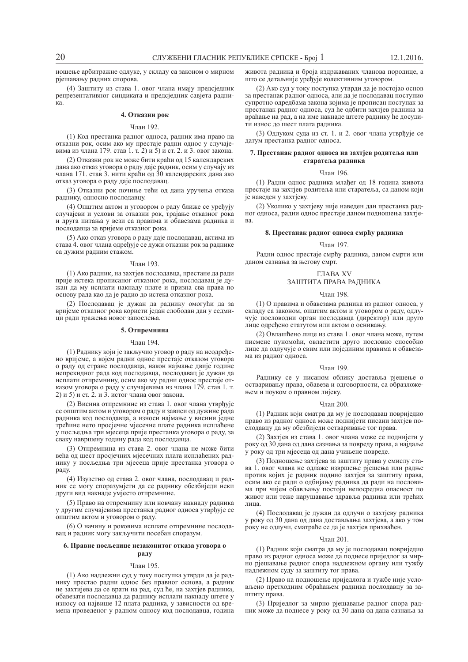ношење арбитражне одлуке, у складу са законом о мирном ріешавању радних спорова.

(4) Заштиту из става 1. овог члана имају предсједник репрезентативног синдиката и предсједник савјета радниκa.

## **4. Отказни рок**

## ɑɥɚɧ 192.

(1) Код престанка радног односа, радник има право на отказни рок, осим ако му престаје рални однос у случајевима из члана 179. став 1. т. 2) и 5) и ст. 2. и 3. овог закона.

(2) Отказни рок не може бити краћи од 15 календарских дана ако отказ уговора о раду даје радник, осим у случају из члана 171. став 3. нити краћи од 30 календарских дана ако отказ уговора о раду даје послодавац.

(3) Отказни рок почиње тећи од дана уручења отказа раднику, односно послодавцу.

(4) Општим актом и уговором о раду ближе се уређују случајеви и услови за отказни рок, трајање отказног рока и лруга питања у вези са правима и обавезама ралника и послодавца за вријеме отказног рока.

(5) Ако отказ уговора о раду даје послодавац, актима из става 4. овог члана одређује се дужи отказни рок за раднике са дужим радним стажом.

## Члан 193.

(1) Ако ралник, на захтіев послодавца, престане да ради прије истека прописаног отказног рока, послодавац је дужан да му исплати накнаду плате и призна сва права по основу рада као да је радио до истека отказног рока.

(2) Послодавац је дужан да раднику омогући да за вријеме отказног рока користи један слободан дан у седмипи ради тражења новог запослења.

## 5. Отпремнина

## Члан 194.

(1) Раднику који је закључио уговор о раду на неодређено вријеме, а којем радни однос престаје отказом уговора о раду од стране послодавца, након најмање двије године непрекидног рада код послодавца, послодавац је дужан да исплати отпремнину, осим ако му радни однос престаје отказом уговора о раду у случајевима из члана 179. став 1. т. 2) и 5) и ст. 2. и 3. истог члана овог закона.

(2) Висина отпремнине из става 1. овог члана утврђује се општим актом и уговором о раду и зависи од дужине рада радника код послодавца, а износи најмање у висини једне трећине нето просјечне мјесечне плате радника исплаћене у посљедња три мјесеца прије престанка уговора о раду, за сваку навршену годину рада код послодавца.

(3) Отпремнина из става 2. овог члана не може бити већа од шест просјечних мјесечних плата исплаћених раднику у посљедња три мјесеца прије престанка уговора о раду.

(4) Изузетно од става 2. овог члана, послодавац и радник се могу споразумјети да се раднику обезбиједи неки други вид накнаде умјесто отпремнине.

(5) Право на отпремнину или новчану накнаду радника у другим случајевима престанка радног односа утврђује се општим актом и уговором о раду.

(6) О начину и роковима исплате отпремнине послодавац и радник могу закључити посебан споразум.

## $6.$  Правне посљедице незаконитог отказа уговора о **раду**

### Члан 195.

(1) Ако надлежни суд у току поступка утврди да је раднику престао радни однос без правног основа, а радник не захтијева да се врати на рад, суд ће, на захтјев радника, обавезати послодавца да раднику исплати накнаду штете у износу од највише 12 плата радника, у зависности од времена проведеног у радном односу код послодавца, година живота радника и броја издржаваних чланова породице, а што се детаљније уређује колективним уговором.

(2) Ако суд у току поступка утврди да је постојао основ за престанак радног односа, али да је послодавац поступио супротно одредбама закона којима је прописан поступак за престанак радног односа, суд ће одбити захтјев радника за враћање на рад, а на име накнаде штете раднику ће досудити износ до шест плата радника.

(3) Одлуком суда из ст. 1. и 2. овог члана утврђује се датум престанка радног односа.

## 7. Престанак радног односа на захтјев родитеља или старатеља радника

#### Члан 196.

(1) Радни однос радника млађег од 18 година живота престаје на захтјев родитеља или старатеља, са даном који је наведен у захтјеву.

(2) Уколико у захтјеву није наведен дан престанка радног односа, радни однос престаје даном подношења захтје-B<sub>a</sub>

## **8. Престанак радног односа смрћу радника**

## Члан 197.

Радни однос престаје смрћу радника, даном смрти или даном сазнања за његову смрт.

## ȽɅȺȼȺ XV ЗАШТИТА ПРАВА РАДНИКА

### Члан 198.

(1) О правима и обавезама радника из радног односа, у складу са законом, општим актом и уговором о раду, одлучује пословодни орган послодавца (директор) или друго лице одређено статутом или актом о оснивању.

(2) Овлашћено лице из става 1. овог члана може, путем писмене пуномоћи, овластити друго пословно способно лице да одлучује о свим или појединим правима и обавезама из радног односа.

## Члан 199.

Раднику се у писаном облику доставља рјешење о остваривању права, обавеза и одговорности, са образложењем и поуком о правном лијеку.

### $q_{\text{пан}} 200$

(1) Радник који сматра да му је послодавац повриједио право из радног односа може поднијети писани захтјев послодавцу да му обезбиједи остваривање тог права.

(2) Захтјев из става 1. овог члана може се поднијети v року од 30 дана од дана сазнања за повреду права, а најдаље у року од три мјесеца од дана учињене повреде.

(3) Подношење захтјева за заштиту права у смислу става 1. овог члана не одлаже извршење рјешења или радње против којих је радник поднио захтјев за заштиту права, осим ако се ради о одбијању радника да ради на пословима при чијем обављању постоји непосредна опасност по живот или теже нарушавање здравља радника или трећих лина

(4) Послодавац је дужан да одлучи о захтјеву радника у року од 30 дана од дана достављања захтјева, а ако у том **и и содлучи**, сматраће се да је захтјев прихваћен.

## Члан 201.

(1) Радник који сматра да му је послодавац повриједио право из радног односа може да поднесе приједлог за мирно ріешавање радног спора надлежном органу или тужбу надлежном суду за заштиту тог права.

(2) Право на подношење приједлога и тужбе није условљено претходним обраћањем радника послодавцу за заштиту права.

(3) Приједлог за мирно рјешавање радног спора радник може да поднесе у року од 30 дана од дана сазнања за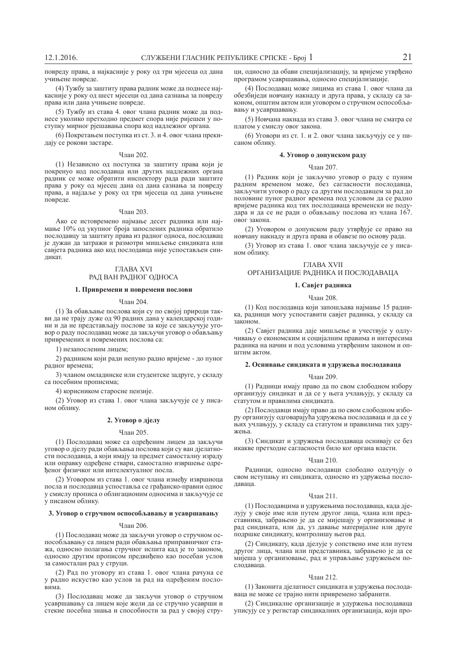повреду права, а најкасније у року од три мјесеца од дана учињене повреде.

(4) Тужбу за заштиту права радник може да поднесе најкасније у року од шест мјесеци од дана сазнања за повреду права или дана учињене повреде.

(5) Тужбу из става 4. овог члана радник може да поднесе уколико претходно предмет спора није ријешен у поступку мирног рјешавања спора код надлежног органа.

(6) Покретањем поступка из ст. 3. и 4. овог члана прекидају се рокови застаре.

#### Члан 202.

(1) Независно од поступка за заштиту права који је покренуо код послодавца или других надлежних органа радник се може обратити инспектору рада ради заштите права у року од мјесец дана од дана сазнања за повреду права, а најдаље у року од три мјесеца од дана учињене повреде.

## Члан 203.

Ако се истовремено најмање десет радника или најмање 10% од укупног броја запослених радника обратило послодавцу за заштиту права из радног односа, послодавац је дужан да затражи и размотри мишљење синдиката или савјета радника ако код послодавца није успостављен синликат.

## ГЛАВА XVI РАД ВАН РАДНОГ ОДНОСА

## 1. Привремени и повремени послови

### Члан 204.

(1) За обављање послова који су по својој природи такви да не трају дуже од 90 радних дана у календарској години и да не представљају послове за које се закључује уговор о раду послодавац може да закључи уговор о обављању привремених и повремених послова са:

1) незапосленим лицем;

2) радником који ради непуно радно вријеме - до пуног радног времена;

3) чланом омладинске или студентске задруге, у складу са посебним прописима;

4) корисником старосне пензије.

(2) Уговор из става 1. овог члана закључује се у писаном облику.

## $2.$  Уговор о дјелу

### Члан 205.

(1) Послодавац може са одређеним лицем да закључи уговор о дјелу ради обављања послова који су ван дјелатности послодавца, а који имају за предмет самосталну израду или оправку одређене ствари, самостално извршење одређеног физичког или интелектуалног посла.

(2) Уговором из става 1. овог члана између извршиоца посла и послодавца успоставља се грађанско-правни однос у смислу прописа о облигационим односима и закључује се у писаном облику.

## 3. Уговор о стручном оспособљавању и усавршавању

#### ɑɥɚɧ 206.

(1) Послодавац може да закључи уговор о стручном оспособљавању са лицем ради обављања приправничког стажа, односно полагања стручног испита кад је то законом, односно другим прописом предвиђено као посебан услов за самосталан рад у струци.

(2) Рад по уговору из става 1. овог члана рачуна се у радно искуство као услов за рад на одређеним пословима.

(3) Послодавац може да закључи уговор о стручном усавршавању са лицем које жели ла се стручно усаврши и стекне посебна знања и способности за рад у својој струци, односно да обави специјализацију, за вријеме утврђено програмом усавршавања, односно специјализације.

(4) Послодавац може лицима из става 1. овог члана да обезбиједи новчану накнаду и друга права, у складу са законом, општим актом или уговором о стручном оспособљавању и усавршавању.

(5) Новчана накнада из става 3. овог члана не сматра се платом у смислу овог закона.

(6) Уговори из ст. 1. и 2. овог члана закључују се у писаном облику.

## $4.$  Уговор о допунском раду

## Члан 207.

(1) Радник који је закључио уговор о раду с пуним радним временом може, без сагласности послодавца, закључити уговор о раду са другим послодавцем за рад до половине пуног радног времена под условом да се радно вријеме ралника кол тих послодаваца временски не подудара и да се не ради о обављању послова из члана 167. овог закона.

(2) Уговором о допунском раду утврђује се право на новчану накнаду и друга права и обавезе по основу рада.

(3) Уговор из става 1. овог члана закључује се у писаном облику.

## ГЛАВА XVII

# ОРГАНИЗАЦИЈЕ РАДНИКА И ПОСЛОДАВАЦА

## 1. Савјет радника

#### ɑɥɚɧ 208.

(1) Кол послолавна који запошљава најмање 15 радника, радници могу успоставити савјет радника, у складу са законом.

(2) Савјет радника даје мишљење и учествује у одлучивању о економским и социјалним правима и интересима радника на начин и под условима утврђеним законом и оп-**IIITHM AKTOM.** 

## 2. Оснивање синдиката и удружења послодаваца

### Члан 209.

(1) Радници имају право да по свом слободном избору организују синдикат и да се у њега учлањују, у складу са статутом и правилима синдиката.

(2) Послодавци имају право да по свом слободном избору организују одговарајућа удружења послодаваца и да се у ыих учлањују, у складу са статутом и правилима тих удружења.

(3) Синдикат и удружења послодаваца оснивају се без икакве претходне сагласности било ког органа власти.

## ɑɥɚɧ 210.

Радници, односно послодавци слободно одлучују о свом иступању из синдиката, односно из удружења послолавана.

## Члан 211.

(1) Послодавцима и удружењима послодаваца, када діелују у своје име или путем другог лица, члана или представника, забрањено је да се мијешају у организовање и рад синдиката, или да, уз давање материјалне или друге подршке синдикату, контролишу његов рад.

(2) Синдикату, када дјелује у сопствено име или путем другог лица, члана или представника, забрањено је да се мијеша у организовање, рад и управљање удружењем послодавана.

## Члан 212.

(1) Законита дјелатност синдиката и удружења послодаваца не може се трајно нити привремено забранити.

(2) Синдикалне организације и удуржења послодаваца уписују се у регистар синдикалних организација, који про-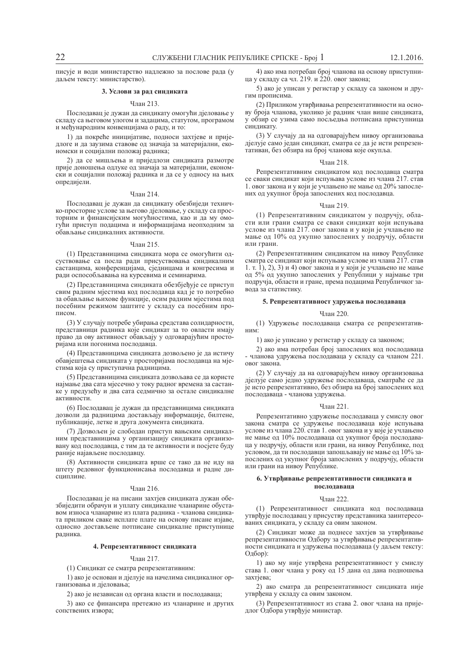писује и води министарство надлежно за послове рада (у даљем тексту: министарство).

## 3. Услови за рад синдиката

## Члан 213.

Послодавац је дужан да синдикату омогући дјеловање у складу са његовом улогом и задацима, статутом, програмом и међународним конвенцијама о раду, и то:

1) да покреће иницијативе, подноси захтјеве и пријеллоге и ла заузима ставове ол значаја за материјални, економски и социјални положај радника;

2) да се мишљења и приједлози синдиката размотре прије доношења одлуке од значаја за материјални, економски и социјални положај радника и да се у односу на њих опредијели.

## Члан 214.

Послодавац је дужан да синдикату обезбиједи техничко-просторне услове за његово дјеловање, у складу са просторним и финансијским могућностима, као и да му омогући приступ подацима и информацијама неопходним за обављање синдикалних активности.

### ɑɥɚɧ 215.

(1) Представницима синдиката мора се омогућити одсуствовање са посла ради присуствовања синдикалним састанцима, конференцијама, сједницама и конгресима и ради оспособљавања на курсевима и семинарима.

(2) Представницима синдиката обезбјеђује се приступ свим радним мјестима код послодавца кад је то потребно за обављање њихове функције, осим радним мјестима под посебним режимом заштите у складу са посебним прописом

(3) У случају потребе убирања средстава солидарности, представници радника које синдикат за то овласти имају право да ову активност обављају у одговарајућим просторијама или погонима послодавца.

(4) Представницима синдиката дозвољено је да истичу обавјештења синдиката у просторијама послодавца на мјестима која су приступачна радницима.

(5) Представницима синдиката дозвољава се да користе најмање два сата мјесечно у току радног времена за састанке у предузећу и два сата седмично за остале синдикалне активности.

(6) Послодавац је дужан да представницима синдиката дозволи да радницима достављају информације, билтене, публикације, летке и друга документа синдиката.

(7) Дозвољен је слободан приступ вањским синдикалним представницима у организацију синдиката организовану код послодавца, с тим да те активности и посјете буду раније најављене послодавцу.

(8) Активности синдиката врше се тако да не иду на штету редовног функционисања послодавца и радне диcниплине.

## Члан 216.

Послодавац је на писани захтјев синдиката дужан обезбиједити обрачун и уплату синдикалне чланарине обуставом износа чланарине из плата радника - чланова синдиката приликом сваке исплате плате на основу писане изјаве, односно достављене потписане синдикалне приступнице радника.

## 4. Репрезентативност синдиката

## ɑɥɚɧ 217.

(1) Синдикат се сматра репрезентативним:

1) ако је основан и дјелује на начелима синдикалног организовања и дјеловања;

2) ако је независан од органа власти и послодаваца<sup>.</sup>

3) ако се финансира претежно из чланарине и других сопствених извора;

4) ако има потребан број чланова на основу приступница у складу са чл. 219. и 220. овог закона;

5) ако је уписан у регистар у складу са законом и другим прописима.

(2) Приликом утврђивања репрезентативности на основу броја чланова, уколико је радник члан више синдиката, у обзир се узима само посљедња потписана приступница синликату.

(3) У случају да на одговарајућем нивоу организовања дјелује само један синдикат, сматра се да је исти репрезентативан, без обзира на број чланова које окупља.

## Члан 218.

Репрезентативним синдикатом код послодавца сматра се сваки синдикат који испуњава услове из члана 217. став 1. овог закона и у који је учлањено не мање од 20% запослених од укупног броја запослених код послодавца.

## Члан 219.

(1) Репрезентативним синдикатом у подручју, области или грани сматра се сваки синдикат који испуњава услове из члана 217. овог закона и у који је учлањено не мање од 10% од укупно запослених у подручју, области или грани.

(2) Репрезентативним синдикатом на нивоу Републике сматра се синдикат који испуњава услове из члана 217. став 1. т. 1, 2, 3) и 4) овог закона и у који је учлањено не мање од 5% од укупно запослених у Републици у најмање три подручја, области и гране, према подацима Републичког завода за статистику.

## 5. Репрезентативност удружења послодаваца

## Члан 220.

(1) Удружење послодаваца сматра се репрезентатив- $H$ им:

1) ако је уписано у регистар у складу са законом;

2) ако има потребан број запослених код послодаваца - чланова удружења послодаваца у складу са чланом 221. овог закона.

(2) У случају да на одговарајућем нивоу организовања дјелује само једно удружење послодаваца, сматраће се да је исто репрезентативно, без обзира на број запослених код и послодаваца - чланова удружења.

## ɑɥɚɧ 221.

Репрезентативно удружење послодаваца у смислу овог закона сматра се удружење послодаваца које испуњава услове из члана 220. став 1. овог закона и у које је учлањено не мање од 10% послодаваца од укупног броја послодаваца у подручју, области или грани, на нивоу Републике, под условом, да ти послодавци запошљавају не мање од 10% занослених од укупног броја запослених у подручју, области или грани на нивоу Републике.

## **6. Утврђивање репрезентативности синдиката и** ПОСЛОЛЯВЯНЯ

#### $q_{\text{пан}}$  222.

(1) Репрезентативност синдиката код послодаваца утврђује послодавац у присуству представника заинтересованих синдиката, у складу са овим законом.

(2) Синдикат може да поднесе захтјев за утврђивање репрезентативности Одбору за утврђивање репрезентативности синдиката и удружења послодаваца (у даљем тексту: Одбор):

1) ако му није утврђена репрезентативност у смислу става 1. овог члана у року од 15 дана од дана подношења захтіева:

2) ако сматра да репрезентативност синдиката није утврђена у складу са овим законом.

(3) Репрезентативност из става 2. овог члана на приједлог Одбора утврђује министар.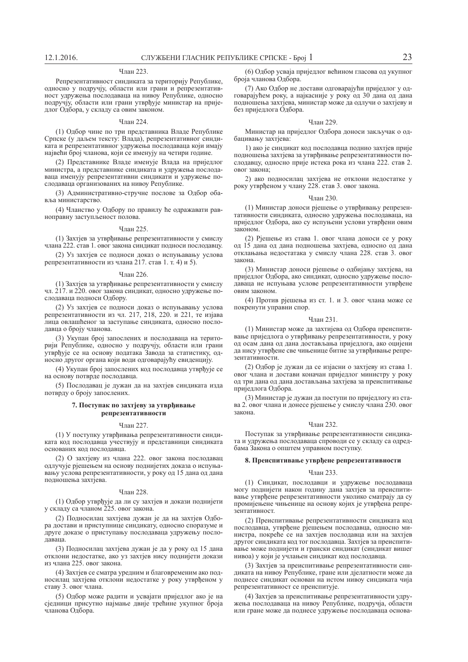## Члан 223.

Репрезентативност синдиката за територију Републике, односно у подручју, области или грани и репрезентативност удружења послодаваца на нивоу Републике, односно подручју, области или грани утврђује министар на приједлог Одбора, у складу са овим законом.

### Члан 224.

(1) Одбор чине по три представника Владе Републике Српске (у даљем тексту: Влада), репрезентативног синдиката и репрезентативног удружења послодаваца који имају највећи број чланова, који се именују на четири године.

(2) Представнике Владе именује Влада на приједлог министра, а представнике синдиката и удружења послодаваца именују репрезентативни синдикати и удружење послодаваца организованих на нивоу Републике.

(3) Административно-стручне послове за Одбор обавља министарство.

(4) Чланство у Одбору по правилу ће одражавати равноправну заступљеност полова.

### Члан 225.

(1) Захтіев за утврђивање репрезентативности у смислу члана 222. став 1. овог закона синдикат подноси послодавцу.

(2) Уз захтіев се полноси локаз о испуњавању услова репрезентативности из члана 217. став 1. т. 4) и 5).

#### Члан 226.

(1) Захтјев за утврђивање репрезентативности у смислу чл. 217. и 220. овог закона синдикат, односно удружење послодаваца подноси Одбору.

(2) Уз захтјев се подноси доказ о испуњавању услова репрезентативности из чл. 217, 218, 220. и 221, те изјава лица овлашћеног за заступање синдиката, односно послодавца о броју чланова.

(3) Укупан број запослених и послодаваца на територији Републике, односно у подручју, области или грани утврђује се на основу података Завода за статистику, односно другог органа који води одговарајућу евиденцију.

(4) Укупан број запослених код послодавца утврђује се на основу потврде послодавца.

(5) Послодавац је дужан да на захтјев синдиката изда потврду о броју запослених.

## 7. Поступак по захтјеву за утврђивање  $pen$ репрезентативности

## Члан 227.

(1) У поступку утврђивања репрезентативности синдиката код послодавца учествују и представници синдиката основаних код послодавца.

(2) О захтјеву из члана 222. овог закона послодавац одлучује рјешењем на основу поднијетих доказа о испуњавању услова репрезентативности, у року од 15 дана од дана подношења захтјева.

### Члан 228.

(1) Одбор утврђује да ли су захтјев и докази поднијети у складу са чланом 225. овог закона.

(2) Подносилац захтјева дужан је да на захтјев Одбора достави и приступнице синдикату, односно споразуме и друге доказе о приступању послодаваца удружењу послолавана.

(3) Подносилац захтјева дужан је да у року од 15 дана отклони недостатке, ако уз захтјев нису поднијети докази из члана 225. овог закона.

(4) Захтјев се сматра уредним и благовременим ако подносилац захтјева отклони недостатке у року утврђеном у ставу 3. овог члана.

(5) Олбор може ралити и усвајати приједлог ако је на сједници присутно најмање двије трећине укупног броја чланова Одбора.

(6) Одбор усваја приједлог већином гласова од укупног броја чланова Одбора.

(7) Ако Одбор не достави одговарајући приједлог у одговарајућем року, а најкасније у року од 30 дана од дана подношења захтјева, министар може да одлучи о захтјеву и без приједлога Одбора.

## Члан 229.

Министар на приједлог Одбора доноси закључак о одбацивању захтјева:

1) ако је синликат кол послолавна полнио захтјев прије подношења захтјева за утврђивање репрезентативности послодавцу, односно прије истека рока из члана 222. став 2. овог закона:

2) ако подносилац захтіева не отклони недостатке у року утврђеном у члану 228. став 3. овог закона.

### Члан 230.

(1) Министар лоноси ріешење о утврђивању репрезентативности синдиката, односно удружења послодаваца, на приједлог Одбора, ако су испуњени услови утврђени овим законом.

(2) Ріешење из става 1. овог члана доноси се у року од 15 дана од дана подношења захтјева, односно од дана отклањања недостатака у смислу члана 228. став 3. овог закона.

(3) Министар доноси рјешење о одбијању захтјева, на приједлог Одбора, ако синдикат, односно удружење послодаваца не испуњава услове репрезентативности утврђене овим законом.

(4) Против ріешења из ст. 1. и 3. овог члана може се покренути управни спор.

### Члан 231.

(1) Министар може да захтијева од Одбора преиспитивање приједлога о утврђивању репрезентативности, у року од осам дана од дана достављања приједлога, ако оцијени да нису утврђене све чињенице битне за утврђивање репрезентативности.

(2) Одбор је дужан да се изјасни о захтјеву из става 1. овог члана и достави коначан приједлог министру у року од три дана од дана достављања захтјева за преиспитивање приједлога Одбора.

(3) Министар је дужан да поступи по приједлогу из става 2. овог члана и донесе рјешење у смислу члана 230. овог закона.

#### ɑɥɚɧ 232.

Поступак за утврђивање репрезентативности синдиката и удружења послодаваца спроводи се у складу са одредбама Закона о општем управном поступку.

## 8. Преиспитивање утврђене репрезентативности

#### ɑɥɚɧ 233.

(1) Синдикат, послодавци и удружење послодаваца могу поднијети након годину дана захтјев за преиспитивање утврђене репрезентативности уколико сматрају да су промијењене чињенице на основу којих је утврђена репрезентативност.

(2) Преиспитивање репрезентативности синдиката код послодавца, утврђене рјешењем послодавца, односно министра, покреће се на захтјев послодавца или на захтјев другог синдиката код тог послодавца. Захтјев за преиспитивање може поднијети и грански синдикат (синдикат вишег нивоа) у који је учлањен синдикат код послодавца.

(3) Захтіев за преиспитивање репрезентативности синдиката на нивоу Републике, гране или дјелатности може да поднесе синдикат основан на истом нивоу синдиката чија репрезентативност се преиспитује.

(4) Захтјев за преиспитивање репрезентативности удружења послодаваца на нивоу Републике, подручја, области или гране може да поднесе удружење послодаваца основа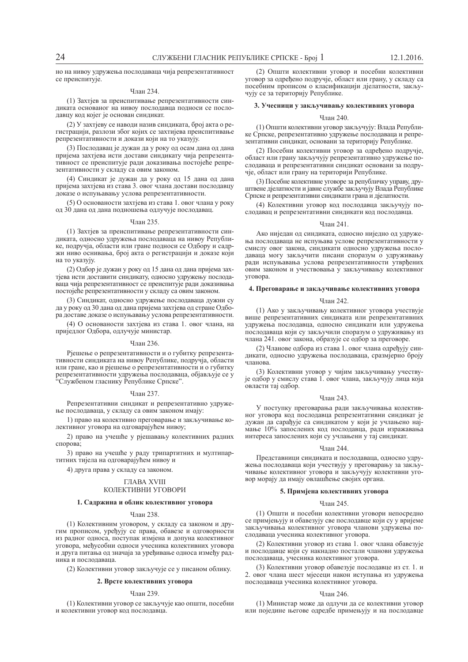но на нивоу удружења послодаваца чија репрезентативност се преиспитује.

## Члан 234.

(1) Захтіев за преиспитивање репрезентативности синдиката основаног на нивоу послодавца подноси се послодавцу код којег је основан синдикат.

(2) У захтјеву се наводи назив синдиката, број акта о регистрацији, разлози због којих се захтијева преиспитивање репрезентативности и докази који на то указују.

(3) Послодавац је дужан да у року од осам дана од дана пријема захтјева исти достави синдикату чија репрезентативност се преиспитује ради доказивања постојеће репрезентативности у складу са овим законом.

(4) Синдикат је дужан да у року од 15 дана од дана пријема захтјева из става 3. овог члана достави послодавцу доказе о испуњавању услова репрезентативности

(5) О основаности захтјева из става 1. овог члана у року од 30 дана од дана подношења одлучује послодавац.

## Члан 235.

(1) Захтјев за преиспитивање репрезентативности синдиката, односно удружења послодаваца на нивоу Републике, подручја, области или гране подноси се Одбору и садржи ниво оснивања, број акта о регистрацији и доказе који на то указују.

(2) Одбор је дужан у року од 15 дана од дана пријема захтіева исти доставити синдикату, односно удружењу послодаваца чија репрезентативност се преиспитује ради доказивања постојеће репрезентативности у складу са овим законом.

(3) Синдикат, односно удружење послодаваца дужни су да у року од 30 дана од дана пријема захтјева од стране Одбора доставе доказе о испуњавању услова репрезентативности.

(4) О основаности захтјева из става 1. овог члана, на приједлог Одбора, одлучује министар.

#### ɑɥɚɧ 236.

Рјешење о репрезентативности и о губитку репрезентативности синдиката на нивоу Републике, подручја, области или гране, као и рјешење о репрезентативности и о губитку репрезентативности удружења послодаваца, објављује се у "Службеном гласнику Републике Српске".

#### Члан 237.

Репрезентативни синдикат и репрезентативно удружеые послодаваца, у складу са овим законом имају:

1) право на колективно преговарање и закључивање колективног уговора на одговарајућем нивоу;

2) право на учешће у рјешавању колективних радних спорова;

3) право на учешће у раду трипартитних и мултипартитних тијела на одговарајућем нивоу и

4) друга права у складу са законом.

## *CHARA XVIII* КОЛЕКТИВНИ УГОВОРИ

## 1. Садржина и облик колективног уговора

## ɑɥɚɧ 238.

(1) Колективним уговором, у складу са законом и другим прописом, уређују се права, обавезе и одговорности из радног односа, поступак измјена и допуна колективног уговора, међусобни односи учесника колективних уговора и друга питања од значаја за уређивање односа између радника и послодаваца

(2) Колективни уговор закључује се у писаном облику.

## 2. Врсте колективних уговора

## Члан 239.

(1) Колективни уговор се закључује као општи, посебни и колективни уговор код послодавца.

(2) Општи колективни уговор и посебни колективни уговор за одређено подручје, област или грану, у складу са посебним прописом о класификацији дјелатности, закључују се за територију Републике.

### 3. Учесници у закључивању колективних уговора

#### ɑɥɚɧ 240.

(1) Општи колективни уговор закључују: Влада Републике Српске, репрезентативно удружење послодаваца и репрезентативни синдикат, основани за територију Републике.

(2) Посебни колективни уговор за одређено подручје, област или грану закључују репрезентативно удружење послодаваца и репрезентативни синдикат основани за подручје, област или грану на територији Републике.

(3) Посебне колективне уговоре за републичку управу, друштвене дјелатности и јавне службе закључују Влада Републике Српске и репрезентативни синдикати грана и дјелатности.

(4) Колективни уговор код послодавца закључују послодавац и репрезентативни синдикати код послодавца.

#### ɑɥɚɧ 241.

Ако ниједан од синдиката, односно ниједно од удружења послодаваца не испуњава услове репрезентативности у смислу овог закона, синдикати односно удружења послодаваца могу закључити писани споразум о удруживању ради испуњавања услова репрезентативности утврђених овим законом и учествовања у закључивању колективног VroBopa.

## **4.** Преговарање и закључивање колективних уговора

#### Члан 242.

(1) Ако у закључивању колективног уговора учествује више репрезентативних синдиката или репрезентативних удружења послодавца, односно синдикати или удружења послодаваца који су закључили споразум о удруживању из члана 241. овог закона, образује се одбор за преговоре.

(2) Чланове одбора из става 1. овог члана одређују синдикати, односно удружења послодаваца, сразмјерно броју чланова

(3) Колективни уговор у чијим закључивању учествује одбор у смислу става 1. овог члана, закључују лица која овласти тај одбор.

## Члан 243.

У поступку преговарања ради закључивања колективног уговора код послодавца репрезентативни синдикат је дужан да сарађује са синдикатом у који је учлањено најмање 10% запослених код послодавца, ради изражавања интереса запослених који су учлањени у тај синдикат.

## Члан 244.

Представници синдиката и послодаваца, односно удружења послодаваца који учествују у преговарању за закључивање колективног уговора и закључују колективни уговор морају да имају овлашћење својих органа.

## 5. Примјена колективних уговора

## Члан 245.

(1) Општи и посебни колективни уговори непосредно се примјењују и обавезују све послодавце који су у вријеме закључивања колективног уговора чланови удружења послодаваца учесника колективног уговора.

(2) Колективни уговор из става 1. овог члана обавезује и послодавце који су накнадно постали чланови удружења послодаваца, учесника колективног уговора.

(3) Колективни уговор обавезује послодавце из ст. 1. и 2. овог члана шест мјесеци након иступања из удружења послодаваца учесника колективног уговора.

## Члан 246.

(1) Министар може да одлучи да се колективни уговор или поједине његове одредбе примењују и на послодавце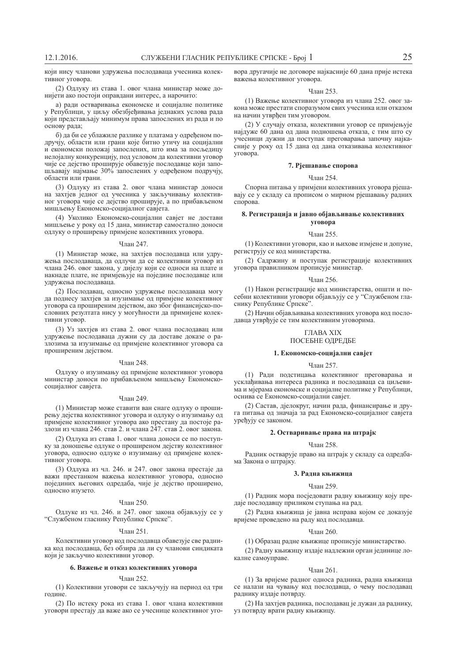који нису чланови удружења послодаваца учесника колективног уговора.

(2) Одлуку из става 1. овог члана министар може донијети ако постоји оправдани интерес, а нарочито:

а) ради остваривања економске и социјалне политике у Републици, у циљу обезбјеђивања једнаких услова рада који представљају минимум права запослених из рада и по основу рада;

б) ла би се ублажиле разлике у платама у одрећеном подручју, области или грани које битно утичу на социјални и економски положај запослених, што има за посљедицу нелојалну конкуренцију, под условом да колективни уговор чије се дејство проширује обавезује послодавце који запошљавају најмање 30% запослених у одређеном подручју, области или грани.

(3) Одлуку из става 2. овог члана министар доноси на захтјев једног од учесника у закључивању колективног уговора чије се дејство проширује, а по прибављеном мишљењу Економско-социјалног савјета.

(4) Уколико Економско-социјални савјет не достави мишљење у року од 15 дана, министар самостално доноси одлуку о проширењу примјене колективних уговора.

## Члан 247.

(1) Министар може, на захтјев послодавца или удружења послодаваца, да одлучи да се колективни уговор из члана 246. овог закона, у дијелу који се односи на плате и накнаде плате, не примјењује на поједине послодавце или удружења послодаваца.

(2) Послодавац, односно удружење послодаваца могу да поднесу захтіев за изузимање од приміене колективног уговора са проширеним дејством, ако због финансијско-пословних резултата нису у могућности да примијене колективни уговор.

(3) Уз захтіев из става 2. овог члана послодавац или удружење послодаваца дужни су да доставе доказе о разлозима за изузимање од примјене колективног уговора са проширеним дејством.

### Члан 248.

Одлуку о изузимању од примјене колективног уговора министар доноси по прибављеном мишљењу Економскосоцијалног савјета.

## Члан 249.

(1) Министар може ставити ван снаге одлуку о проширењу дејства колективног уговора и одлуку о изузимању од примјене колективног уговора ако престану да постоје разлози из члана 246. став 2. и члана 247. став 2. овог закона.

(2) Одлука из става 1. овог члана доноси се по поступку за доношење одлуке о проширеном дејству колективног уговора, односно одлуке о изузимању од примјене колективног уговора.

(3) Одлука из чл. 246. и 247. овог закона престаје да важи престанком важења колективног уговора, односно Huin Frieden Karach and Karacha in the series in the series in the modern in the series of the network and response to the new series of the modern in the series of the new series of the new series in the new series of th односно изузето.

## ɑɥɚɧ 250.

Одлуке из чл. 246. и 247. овог закона објављују се у "Службеном гласнику Републике Српске".

### Члан 251.

Колективни уговор код послодавца обавезује све радника код послодавца, без обзира да ли су чланови синдиката који је закључио колективни уговор.

### $6.$  Важење и отказ колективних уговора

#### ɑɥɚɧ 252.

(1) Колективни уговори се закључују на период од три голине

(2) По истеку рока из става 1. овог члана колективни уговори престају да важе ако се учеснице колективног уговора другачије не договоре најкасније 60 дана прије истека важења колективног уговора.

## ɑɥɚɧ 253.

(1) Важење колективног уговора из члана 252. овог закона може престати споразумом свих учесника или отказом на начин утврђен тим уговором.

(2) У случају отказа, колективни уговор се примјењује најдуже 60 дана од дана подношења отказа, с тим што су учесници дужни да поступак преговарања започну најкасније у року од 15 дана од дана отказивања колективног Vro<sub>Bopa</sub>

## 7. Ріешавање спорова

## Члан 254.

Спорна питања у примјени колективних уговора рјешавају се у складу са прописом о мирном рјешавању радних спорова.

## $8.$  Регистрација и јавно објављивање колективних **Vrobopa**

#### Члан 255.

(1) Колективни уговори, као и њихове измјене и допуне, региструју се код министарства.

(2) Садржину и поступак регистрације колективних уговора правилником прописује министар.

#### ɑɥɚɧ 256.

(1) Након регистрације код министарства, општи и посебни колективни уговори објављују се у "Службеном гласнику Републике Српске"

(2) Начин објављивања колективних уговора код послодавца утврђује се тим колективним уговорима.

# ГЛАВА XIX

# ПОСЕБНЕ ОДРЕДБЕ

## 1. Економско-социјални савјет

## Члан 257.

(1) Ради подстицања колективног преговарања и усклађивања интереса радника и послодаваца са циљевима и мјерама економске и социјалне политике у Републици, оснива се Економско-социјални савјет.

(2) Састав, дјелокруг, начин рада, финансирање и друга питања од значаја за рад Економско-социјалног савјета уређују се законом.

## $2.$  Остваривање права на штрајк

#### ɑɥɚɧ 258.

Радник остварује право на штрајк у складу са одредбама Закона о штраіку.

### 3. Радна књижица

#### ɑɥɚɧ 259.

(1) Радник мора посједовати радну књижицу коју предаје послодавцу приликом ступања на рад.

(2) Радна књижица је јавна исправа којом се доказује вријеме проведено на раду код послодавца.

### **Члан 260**

(1) Образац радне књижице прописује министарство.

(2) Радну књижицу издаје надлежни орган јединице локалне самоуправе.

## ɑɥɚɧ 261.

(1) За вријеме радног односа радника, радна књижица се налази на чувању код послодавца, о чему послодавац раднику издаје потврду.

(2) На захтјев радника, послодавац је дужан да раднику, уз потврду врати радну књижицу.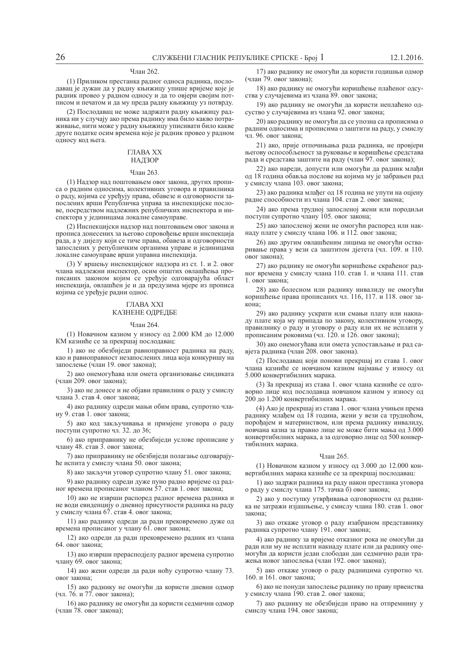## Члан 262.

(1) Приликом престанка радног односа радника, послодавац је дужан да у радну књижицу упише вријеме које је радник провео у радном односу и да то овјери својим потписом и печатом и да му преда радну књижицу уз потврду.

(2) Послодавац не може задржати радну књижицу радника ни у случају ако према раднику има било какво потраживање, нити може у радну књижицу уписивати било какве друге податке осим времена које је радник провео у радном односу код њега.

# ГЛАВА XX

## НАДЗОР

## Члан 263.

(1) Надзор над поштовањем овог закона, других прописа о радним односима, колективних уговора и правилника о раду, којима се уређују права, обавезе и одговорности запослених врши Републичка управа за инспекцијске послове, посредством надлежних републичких инспектора и инспектора у јединицама локалне самоуправе.

(2) Инспекцијски надзор над поштовањем овог закона и прописа донесених за његово спровођење врши инспекција рада, а у дијелу који се тиче права, обавеза и одговорности запослених у републичким органима управе и јединицама локалне самоуправе врши управна инспекција.

(3) У вршењу инспекцијског надзора из ст. 1. и 2. овог члана надлежни инспектор, осим општих овлашћења прописаних законом којим се уређује одговарајућа област инспекција, овлашћен је и да предузима мјере из прописа којима се уређује радни однос.

## ГЛАВА XXI КАЗНЕНЕ ОДРЕДБЕ

### **Члан 264**

(1) Новачном казном у износу од 2.000 КМ до 12.000 КМ казниће се за прекршај послодавац:

1) ако не обезбиједи равноправност радника на раду, као и равноправност незапослених лица која конкуришу на запослење (члан 19. овог закона);

2) ако онемогућава или омета организовање синдиката (члан 209. овог закона);

3) ако не донесе и не објави правилник о раду у смислу члана 3. став 4. овог закона;

4) ако раднику одреди мањи обим права, супротно члану 9. став 1. овог закона;

5) ако код закључивања и примјене уговора о раду поступи супротно чл. 32. до 36;

6) ако приправнику не обезбиједи услове прописане у члану 48. став 3. овог закона;

7) ако приправнику не обезбиједи полагање одговарајуће испита у смислу члана 50. овог закона;

8) ако закључи уговор супротно члану 51. овог закона;

9) ако раднику одреди дуже пуно радно вријеме од радног времена прописаног чланом 57. став 1. овог закона;

10) ако не изврши распоред радног времена радника и не води евиденцију о дневној присутности радника на раду у смислу члана 67. став 4. овог закона;

11) ако раднику одреди да ради прековремено дуже од времена прописаног у члану 61. овог закона;

12) ако одреди да ради прековремено радник из члана 64. овог закона;

13) ако изврши прерасподјелу радног времена супротно члану 69. овог закона;

14) ако жени одреди да ради ноћу супротно члану 73. овог закона;

15) ако раднику не омогући да користи дневни одмор (чл. 76. и 77. овог закона);

16) ако раднику не омогући да користи седмични одмор (члан 78. овог закона);

17) ако раднику не омогући да користи годишњи одмор (члан 79. овог закона);

18) ако раднику не омогући коришћење плаћеног одсуства у случајевима из члана 89. овог закона;

19) ако раднику не омогући да користи неплаћено одсуство у случајевима из члана 92. овог закона;

20) ако раднику не омогући да се упозна са прописима о радним односима и прописима о заштити на раду, у смислу чл 96 овог закона<sup>.</sup>

21) ако, прије отпочињања рада радника, не провјери ыегову оспособљеност за руковање и коришћење средстава рада и средстава заштите на раду (члан 97. овог закона);

22) ако нарели, лопусти или омогући да радник млаћи од 18 година обавља послове на којима му је забрањен рад у смислу члана 103. овог закона;

23) ако радника млађег од 18 година не упути на оцјену радне способности из члана 104. став 2. овог закона;

24) ако према трудној запосленој жени или породиљи поступи супротно члану 105. овог закона;

25) ако запосленој жени не омогући распоред или накнаду плате у смислу члана 106. и 112. овог закона;

26) ако другим овлашћеним лицима не омогући остваривање права у вези са заштитом дјетета (чл. 109. и 110. овог закона):

27) ако раднику не омогући коришћење скраћеног радног времена у смислу члана 110. став 1. и члана 111. став  $1.$  овог закона;

28) ако болесном или ралнику инвалилу не омогући коришћење права прописаних чл. 116, 117. и 118. овог закона;

29) ако раднику ускрати или смањи плату или накнаду плате која му припада по закону, колективном уговору, правилнику о раду и уговору о раду или их не исплати у прописаним роковима (чл. 120. и 126. овог закона);

30) ако онемогућава или омета успостављање и рад савјета радника (члан 208. овог закона).

(2) Послодавац који понови прекршај из става 1. овог члана казниће се новчаном казном најмање у износу од 5.000 конвертибилних марака.

(3) За прекршај из става 1. овог члана казниће се одговорно лице код послодавца новчаном казном у износу од 200 до 1.200 конвертибилних марака.

(4) Ако је прекршај из става 1. овог члана учињен према раднику млађем од 18 година, жени у вези са трудноћом, порођајем и материнством, или према раднику инвалиду, новчана казна за правно лице не може бити мања од 3.000 конвертибилних марака, а за одговорно лице од 500 конвертибилних марака.

## Члан 265.

(1) Новачном казном у износу од 3.000 до 12.000 конвертибилних марака казниће се за прекршај послодавац:

1) ако задржи радника на раду након престанка уговора о раду у смислу члана 175. тачка б) овог закона;

2) ако у поступку утврђивања одговорности од радника не затражи изјашњење, у смислу члана 180. став 1. овог закона:

3) ако откаже уговор о раду изабраном представнику радника супротно члану 191. овог закона;

4) ако раднику за вријеме отказног рока не омогући да ради или му не исплати накнаду плате или да раднику онемогући да користи један слободан дан седмично ради тражења новог запослења (члан 192. овог закона);

5) ако откаже уговор о раду радницима супротно чл. 160. и 161. овог закона;

6) ако не понуди запослење раднику по праву првенства у смислу члана 190. став 2. овог закона;

7) ако раднику не обезбиједи право на отпремнину у смислу члана 194. овог закона;